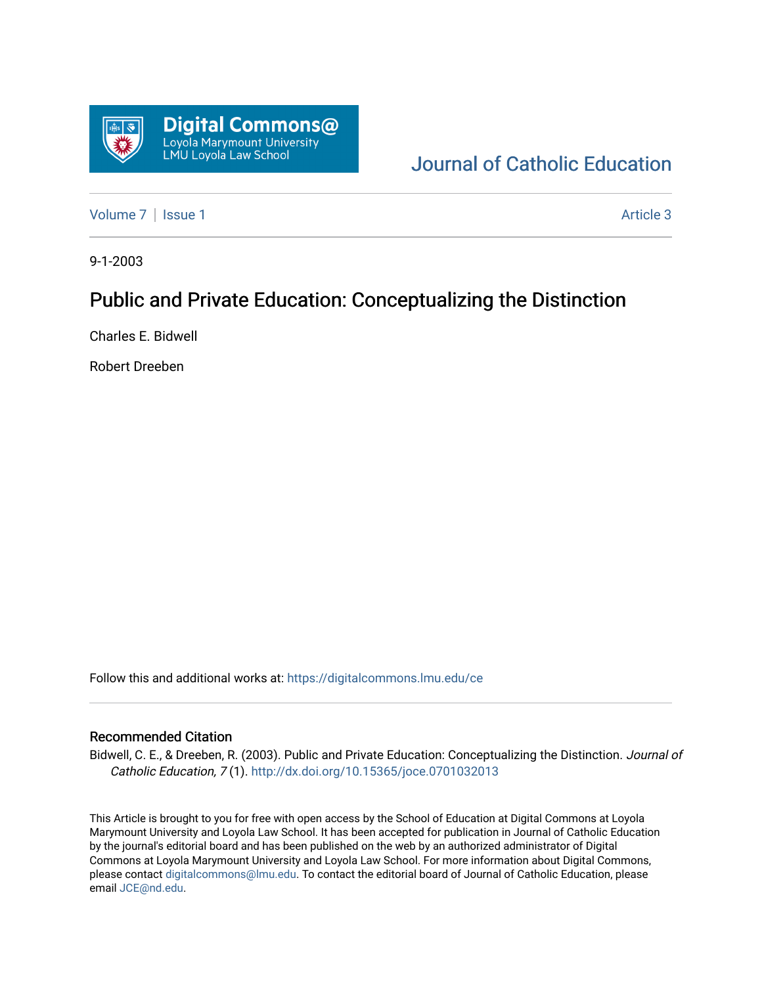

# [Journal of Catholic Education](https://digitalcommons.lmu.edu/ce)

[Volume 7](https://digitalcommons.lmu.edu/ce/vol7) | [Issue 1](https://digitalcommons.lmu.edu/ce/vol7/iss1) Article 3

9-1-2003

# Public and Private Education: Conceptualizing the Distinction

Charles E. Bidwell

Robert Dreeben

Follow this and additional works at: [https://digitalcommons.lmu.edu/ce](https://digitalcommons.lmu.edu/ce?utm_source=digitalcommons.lmu.edu%2Fce%2Fvol7%2Fiss1%2F3&utm_medium=PDF&utm_campaign=PDFCoverPages)

#### Recommended Citation

Bidwell, C. E., & Dreeben, R. (2003). Public and Private Education: Conceptualizing the Distinction. Journal of Catholic Education, 7 (1). <http://dx.doi.org/10.15365/joce.0701032013>

This Article is brought to you for free with open access by the School of Education at Digital Commons at Loyola Marymount University and Loyola Law School. It has been accepted for publication in Journal of Catholic Education by the journal's editorial board and has been published on the web by an authorized administrator of Digital Commons at Loyola Marymount University and Loyola Law School. For more information about Digital Commons, please contact [digitalcommons@lmu.edu](mailto:digitalcommons@lmu.edu). To contact the editorial board of Journal of Catholic Education, please email [JCE@nd.edu](mailto:JCE@nd.edu).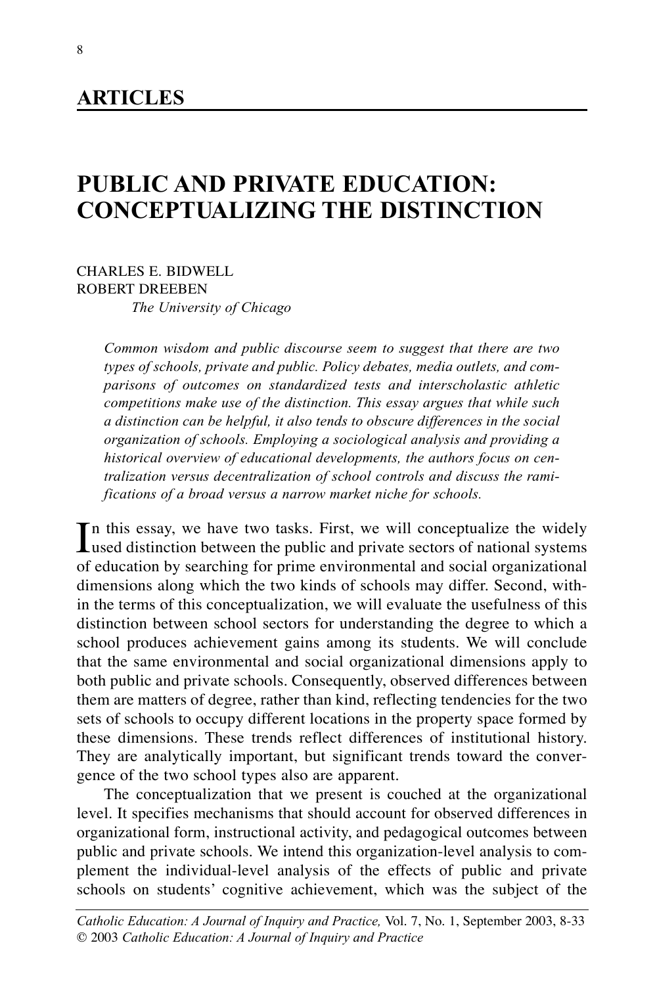### **ARTICLES**

## **PUBLIC AND PRIVATE EDUCATION: CONCEPTUALIZING THE DISTINCTION**

CHARLES E. BIDWELL ROBERT DREEBEN *The University of Chicago*

> *Common wisdom and public discourse seem to suggest that there are two types of schools, private and public. Policy debates, media outlets, and comparisons of outcomes on standardized tests and interscholastic athletic competitions make use of the distinction. This essay argues that while such a distinction can be helpful, it also tends to obscure differences in the social organization of schools. Employing a sociological analysis and providing a historical overview of educational developments, the authors focus on centralization versus decentralization of school controls and discuss the ramifications of a broad versus a narrow market niche for schools.*

In this essay, we have two tasks. First, we will conceptualize the widely used distinction between the public and private sectors of national systems used distinction between the public and private sectors of national systems of education by searching for prime environmental and social organizational dimensions along which the two kinds of schools may differ. Second, within the terms of this conceptualization, we will evaluate the usefulness of this distinction between school sectors for understanding the degree to which a school produces achievement gains among its students. We will conclude that the same environmental and social organizational dimensions apply to both public and private schools. Consequently, observed differences between them are matters of degree, rather than kind, reflecting tendencies for the two sets of schools to occupy different locations in the property space formed by these dimensions. These trends reflect differences of institutional history. They are analytically important, but significant trends toward the convergence of the two school types also are apparent.

The conceptualization that we present is couched at the organizational level. It specifies mechanisms that should account for observed differences in organizational form, instructional activity, and pedagogical outcomes between public and private schools. We intend this organization-level analysis to complement the individual-level analysis of the effects of public and private schools on students' cognitive achievement, which was the subject of the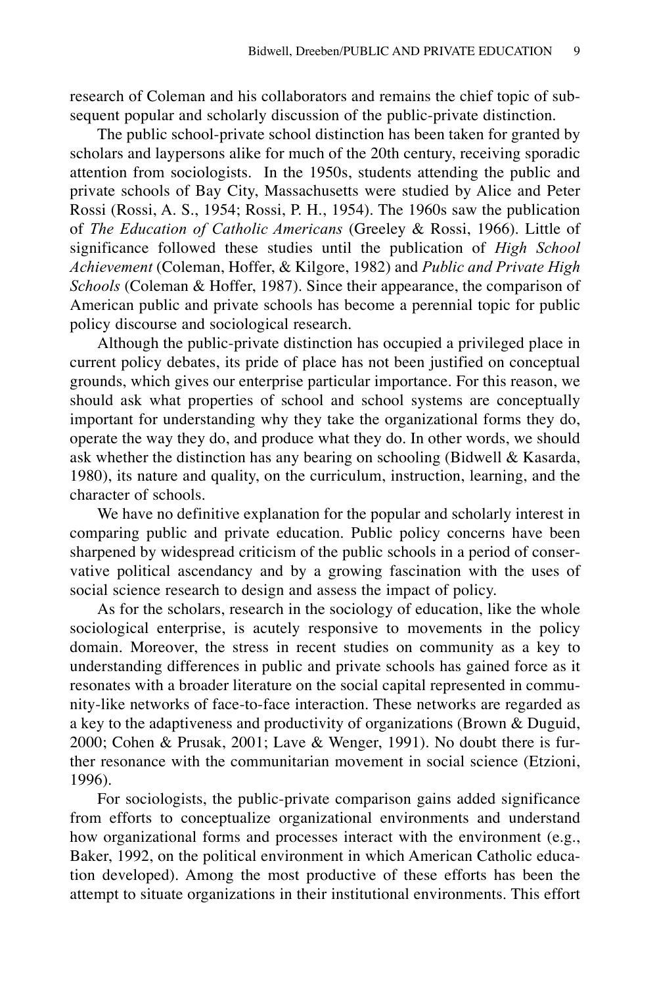research of Coleman and his collaborators and remains the chief topic of subsequent popular and scholarly discussion of the public-private distinction.

The public school-private school distinction has been taken for granted by scholars and laypersons alike for much of the 20th century, receiving sporadic attention from sociologists. In the 1950s, students attending the public and private schools of Bay City, Massachusetts were studied by Alice and Peter Rossi (Rossi, A. S., 1954; Rossi, P. H., 1954). The 1960s saw the publication of *The Education of Catholic Americans* (Greeley & Rossi, 1966). Little of significance followed these studies until the publication of *High School Achievement* (Coleman, Hoffer, & Kilgore, 1982) and *Public and Private High Schools* (Coleman & Hoffer, 1987). Since their appearance, the comparison of American public and private schools has become a perennial topic for public policy discourse and sociological research.

Although the public-private distinction has occupied a privileged place in current policy debates, its pride of place has not been justified on conceptual grounds, which gives our enterprise particular importance. For this reason, we should ask what properties of school and school systems are conceptually important for understanding why they take the organizational forms they do, operate the way they do, and produce what they do. In other words, we should ask whether the distinction has any bearing on schooling (Bidwell & Kasarda, 1980), its nature and quality, on the curriculum, instruction, learning, and the character of schools.

We have no definitive explanation for the popular and scholarly interest in comparing public and private education. Public policy concerns have been sharpened by widespread criticism of the public schools in a period of conservative political ascendancy and by a growing fascination with the uses of social science research to design and assess the impact of policy.

As for the scholars, research in the sociology of education, like the whole sociological enterprise, is acutely responsive to movements in the policy domain. Moreover, the stress in recent studies on community as a key to understanding differences in public and private schools has gained force as it resonates with a broader literature on the social capital represented in community-like networks of face-to-face interaction. These networks are regarded as a key to the adaptiveness and productivity of organizations (Brown & Duguid, 2000; Cohen & Prusak, 2001; Lave & Wenger, 1991). No doubt there is further resonance with the communitarian movement in social science (Etzioni, 1996).

For sociologists, the public-private comparison gains added significance from efforts to conceptualize organizational environments and understand how organizational forms and processes interact with the environment (e.g., Baker, 1992, on the political environment in which American Catholic education developed). Among the most productive of these efforts has been the attempt to situate organizations in their institutional environments. This effort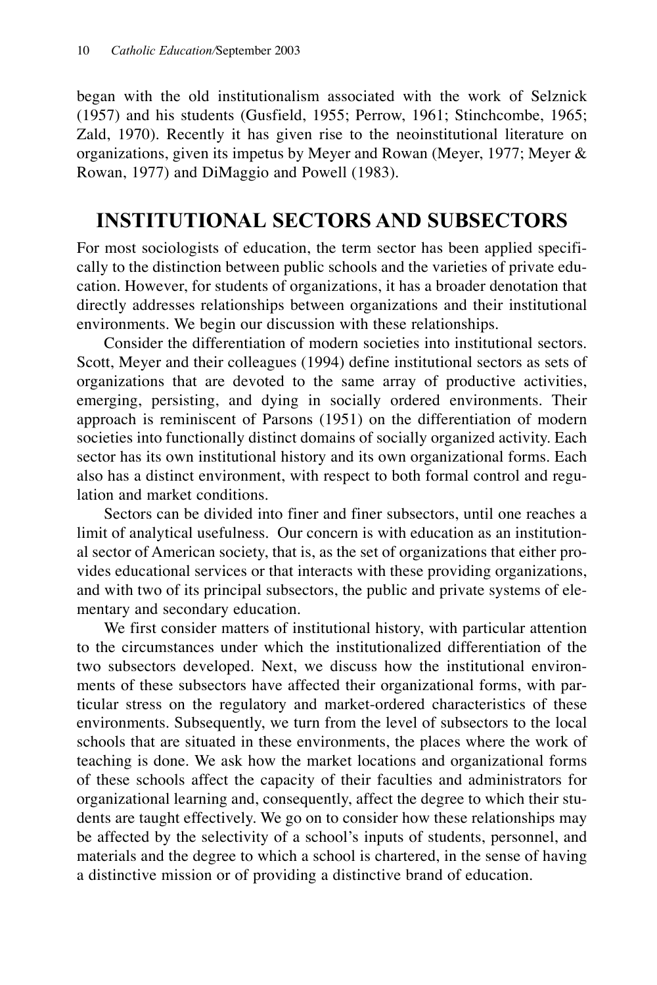began with the old institutionalism associated with the work of Selznick (1957) and his students (Gusfield, 1955; Perrow, 1961; Stinchcombe, 1965; Zald, 1970). Recently it has given rise to the neoinstitutional literature on organizations, given its impetus by Meyer and Rowan (Meyer, 1977; Meyer & Rowan, 1977) and DiMaggio and Powell (1983).

## **INSTITUTIONAL SECTORS AND SUBSECTORS**

For most sociologists of education, the term sector has been applied specifically to the distinction between public schools and the varieties of private education. However, for students of organizations, it has a broader denotation that directly addresses relationships between organizations and their institutional environments. We begin our discussion with these relationships.

Consider the differentiation of modern societies into institutional sectors. Scott, Meyer and their colleagues (1994) define institutional sectors as sets of organizations that are devoted to the same array of productive activities, emerging, persisting, and dying in socially ordered environments. Their approach is reminiscent of Parsons (1951) on the differentiation of modern societies into functionally distinct domains of socially organized activity. Each sector has its own institutional history and its own organizational forms. Each also has a distinct environment, with respect to both formal control and regulation and market conditions.

Sectors can be divided into finer and finer subsectors, until one reaches a limit of analytical usefulness. Our concern is with education as an institutional sector of American society, that is, as the set of organizations that either provides educational services or that interacts with these providing organizations, and with two of its principal subsectors, the public and private systems of elementary and secondary education.

We first consider matters of institutional history, with particular attention to the circumstances under which the institutionalized differentiation of the two subsectors developed. Next, we discuss how the institutional environments of these subsectors have affected their organizational forms, with particular stress on the regulatory and market-ordered characteristics of these environments. Subsequently, we turn from the level of subsectors to the local schools that are situated in these environments, the places where the work of teaching is done. We ask how the market locations and organizational forms of these schools affect the capacity of their faculties and administrators for organizational learning and, consequently, affect the degree to which their students are taught effectively. We go on to consider how these relationships may be affected by the selectivity of a school's inputs of students, personnel, and materials and the degree to which a school is chartered, in the sense of having a distinctive mission or of providing a distinctive brand of education.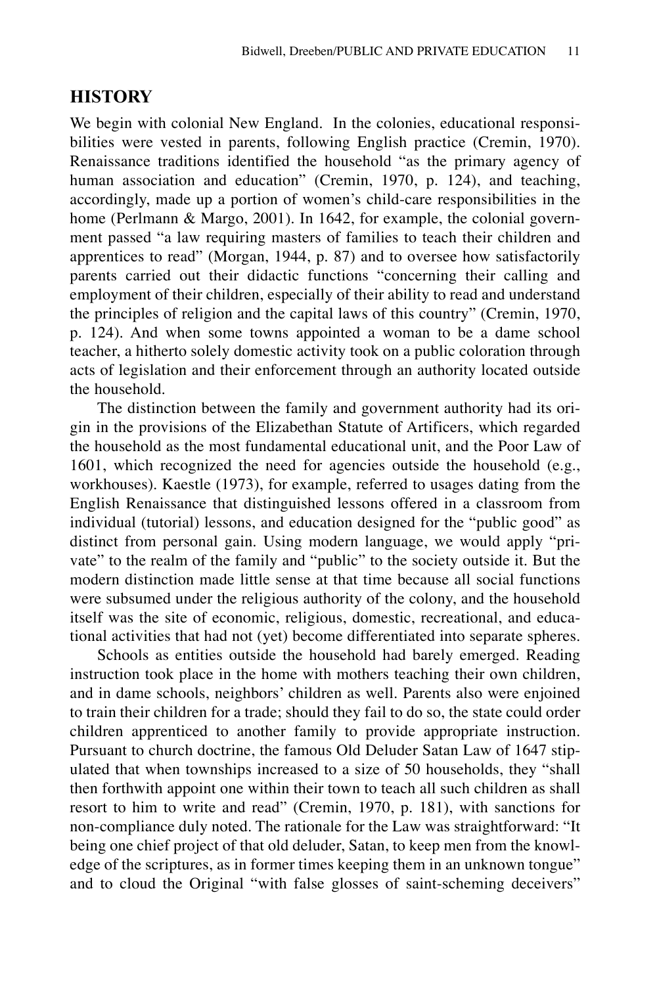#### **HISTORY**

We begin with colonial New England. In the colonies, educational responsibilities were vested in parents, following English practice (Cremin, 1970). Renaissance traditions identified the household "as the primary agency of human association and education" (Cremin, 1970, p. 124), and teaching, accordingly, made up a portion of women's child-care responsibilities in the home (Perlmann & Margo, 2001). In 1642, for example, the colonial government passed "a law requiring masters of families to teach their children and apprentices to read" (Morgan, 1944, p. 87) and to oversee how satisfactorily parents carried out their didactic functions "concerning their calling and employment of their children, especially of their ability to read and understand the principles of religion and the capital laws of this country" (Cremin, 1970, p. 124). And when some towns appointed a woman to be a dame school teacher, a hitherto solely domestic activity took on a public coloration through acts of legislation and their enforcement through an authority located outside the household.

The distinction between the family and government authority had its origin in the provisions of the Elizabethan Statute of Artificers, which regarded the household as the most fundamental educational unit, and the Poor Law of 1601, which recognized the need for agencies outside the household (e.g., workhouses). Kaestle (1973), for example, referred to usages dating from the English Renaissance that distinguished lessons offered in a classroom from individual (tutorial) lessons, and education designed for the "public good" as distinct from personal gain. Using modern language, we would apply "private" to the realm of the family and "public" to the society outside it. But the modern distinction made little sense at that time because all social functions were subsumed under the religious authority of the colony, and the household itself was the site of economic, religious, domestic, recreational, and educational activities that had not (yet) become differentiated into separate spheres.

Schools as entities outside the household had barely emerged. Reading instruction took place in the home with mothers teaching their own children, and in dame schools, neighbors' children as well. Parents also were enjoined to train their children for a trade; should they fail to do so, the state could order children apprenticed to another family to provide appropriate instruction. Pursuant to church doctrine, the famous Old Deluder Satan Law of 1647 stipulated that when townships increased to a size of 50 households, they "shall then forthwith appoint one within their town to teach all such children as shall resort to him to write and read" (Cremin, 1970, p. 181), with sanctions for non-compliance duly noted. The rationale for the Law was straightforward: "It being one chief project of that old deluder, Satan, to keep men from the knowledge of the scriptures, as in former times keeping them in an unknown tongue" and to cloud the Original "with false glosses of saint-scheming deceivers"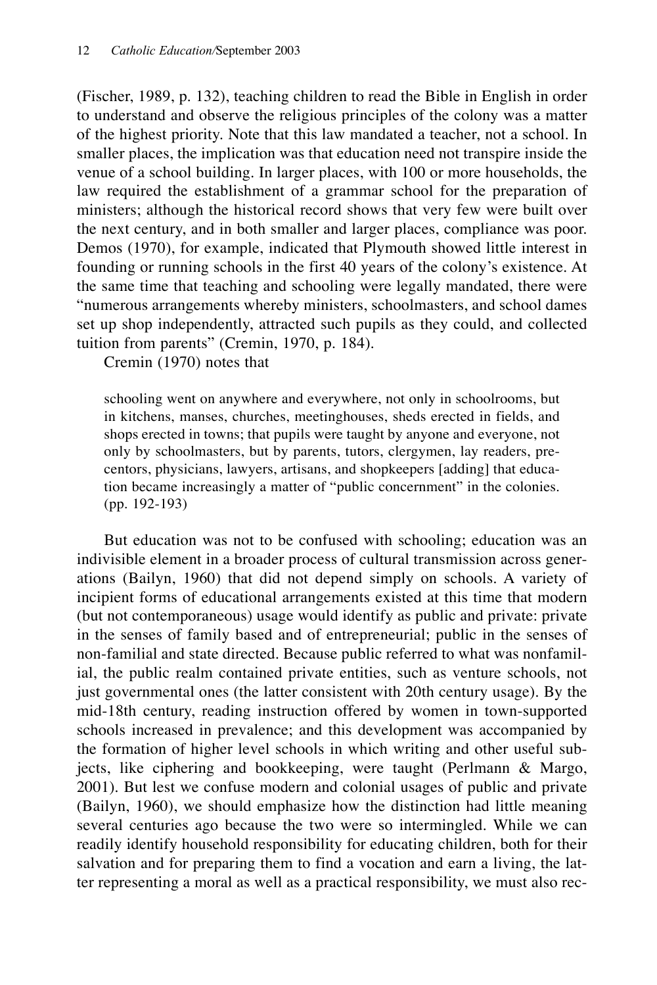(Fischer, 1989, p. 132), teaching children to read the Bible in English in order to understand and observe the religious principles of the colony was a matter of the highest priority. Note that this law mandated a teacher, not a school. In smaller places, the implication was that education need not transpire inside the venue of a school building. In larger places, with 100 or more households, the law required the establishment of a grammar school for the preparation of ministers; although the historical record shows that very few were built over the next century, and in both smaller and larger places, compliance was poor. Demos (1970), for example, indicated that Plymouth showed little interest in founding or running schools in the first 40 years of the colony's existence. At the same time that teaching and schooling were legally mandated, there were "numerous arrangements whereby ministers, schoolmasters, and school dames set up shop independently, attracted such pupils as they could, and collected tuition from parents" (Cremin, 1970, p. 184).

Cremin (1970) notes that

schooling went on anywhere and everywhere, not only in schoolrooms, but in kitchens, manses, churches, meetinghouses, sheds erected in fields, and shops erected in towns; that pupils were taught by anyone and everyone, not only by schoolmasters, but by parents, tutors, clergymen, lay readers, precentors, physicians, lawyers, artisans, and shopkeepers [adding] that education became increasingly a matter of "public concernment" in the colonies. (pp. 192-193)

But education was not to be confused with schooling; education was an indivisible element in a broader process of cultural transmission across generations (Bailyn, 1960) that did not depend simply on schools. A variety of incipient forms of educational arrangements existed at this time that modern (but not contemporaneous) usage would identify as public and private: private in the senses of family based and of entrepreneurial; public in the senses of non-familial and state directed. Because public referred to what was nonfamilial, the public realm contained private entities, such as venture schools, not just governmental ones (the latter consistent with 20th century usage). By the mid-18th century, reading instruction offered by women in town-supported schools increased in prevalence; and this development was accompanied by the formation of higher level schools in which writing and other useful subjects, like ciphering and bookkeeping, were taught (Perlmann & Margo, 2001). But lest we confuse modern and colonial usages of public and private (Bailyn, 1960), we should emphasize how the distinction had little meaning several centuries ago because the two were so intermingled. While we can readily identify household responsibility for educating children, both for their salvation and for preparing them to find a vocation and earn a living, the latter representing a moral as well as a practical responsibility, we must also rec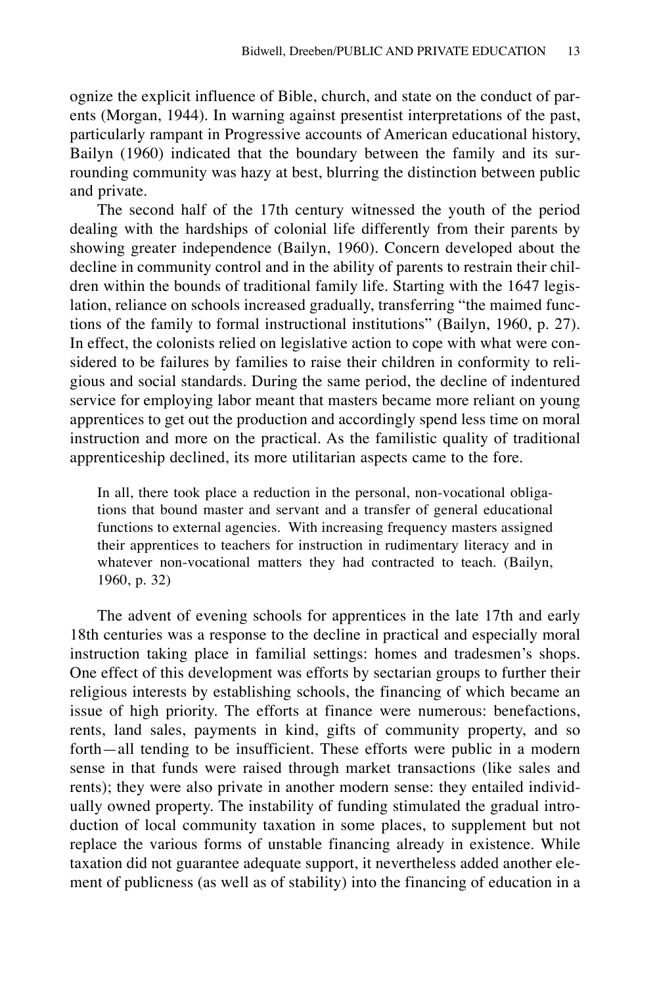ognize the explicit influence of Bible, church, and state on the conduct of parents (Morgan, 1944). In warning against presentist interpretations of the past, particularly rampant in Progressive accounts of American educational history, Bailyn (1960) indicated that the boundary between the family and its surrounding community was hazy at best, blurring the distinction between public and private.

The second half of the 17th century witnessed the youth of the period dealing with the hardships of colonial life differently from their parents by showing greater independence (Bailyn, 1960). Concern developed about the decline in community control and in the ability of parents to restrain their children within the bounds of traditional family life. Starting with the 1647 legislation, reliance on schools increased gradually, transferring "the maimed functions of the family to formal instructional institutions" (Bailyn, 1960, p. 27). In effect, the colonists relied on legislative action to cope with what were considered to be failures by families to raise their children in conformity to religious and social standards. During the same period, the decline of indentured service for employing labor meant that masters became more reliant on young apprentices to get out the production and accordingly spend less time on moral instruction and more on the practical. As the familistic quality of traditional apprenticeship declined, its more utilitarian aspects came to the fore.

In all, there took place a reduction in the personal, non-vocational obligations that bound master and servant and a transfer of general educational functions to external agencies. With increasing frequency masters assigned their apprentices to teachers for instruction in rudimentary literacy and in whatever non-vocational matters they had contracted to teach. (Bailyn, 1960, p. 32)

The advent of evening schools for apprentices in the late 17th and early 18th centuries was a response to the decline in practical and especially moral instruction taking place in familial settings: homes and tradesmen's shops. One effect of this development was efforts by sectarian groups to further their religious interests by establishing schools, the financing of which became an issue of high priority. The efforts at finance were numerous: benefactions, rents, land sales, payments in kind, gifts of community property, and so forth—all tending to be insufficient. These efforts were public in a modern sense in that funds were raised through market transactions (like sales and rents); they were also private in another modern sense: they entailed individually owned property. The instability of funding stimulated the gradual introduction of local community taxation in some places, to supplement but not replace the various forms of unstable financing already in existence. While taxation did not guarantee adequate support, it nevertheless added another element of publicness (as well as of stability) into the financing of education in a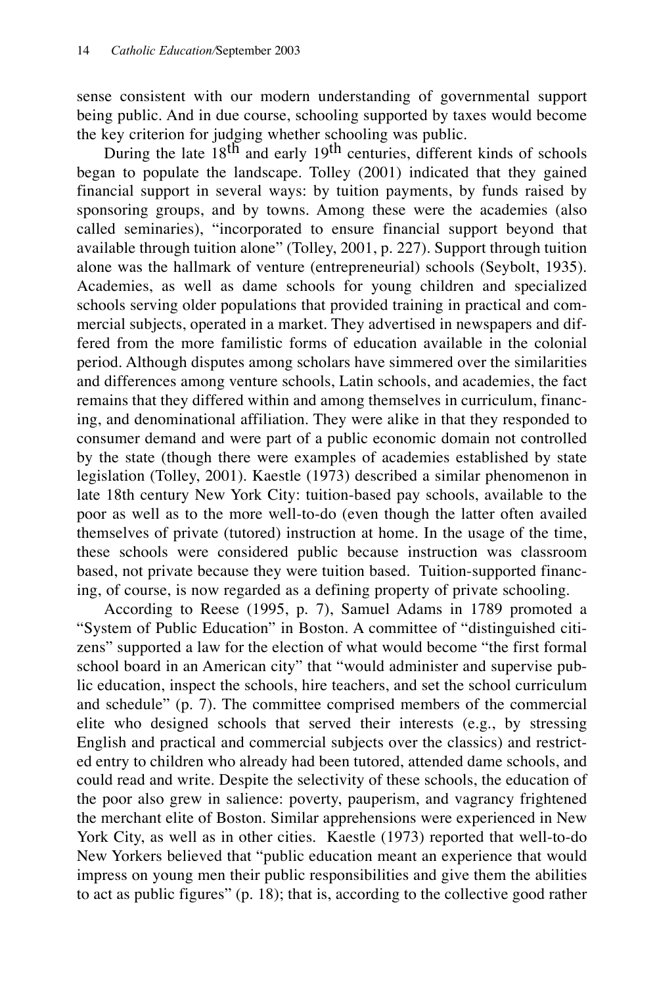sense consistent with our modern understanding of governmental support being public. And in due course, schooling supported by taxes would become the key criterion for judging whether schooling was public.

During the late  $18^{t\overline{h}}$  and early  $19^{t\overline{h}}$  centuries, different kinds of schools began to populate the landscape. Tolley (2001) indicated that they gained financial support in several ways: by tuition payments, by funds raised by sponsoring groups, and by towns. Among these were the academies (also called seminaries), "incorporated to ensure financial support beyond that available through tuition alone" (Tolley, 2001, p. 227). Support through tuition alone was the hallmark of venture (entrepreneurial) schools (Seybolt, 1935). Academies, as well as dame schools for young children and specialized schools serving older populations that provided training in practical and commercial subjects, operated in a market. They advertised in newspapers and differed from the more familistic forms of education available in the colonial period. Although disputes among scholars have simmered over the similarities and differences among venture schools, Latin schools, and academies, the fact remains that they differed within and among themselves in curriculum, financing, and denominational affiliation. They were alike in that they responded to consumer demand and were part of a public economic domain not controlled by the state (though there were examples of academies established by state legislation (Tolley, 2001). Kaestle (1973) described a similar phenomenon in late 18th century New York City: tuition-based pay schools, available to the poor as well as to the more well-to-do (even though the latter often availed themselves of private (tutored) instruction at home. In the usage of the time, these schools were considered public because instruction was classroom based, not private because they were tuition based. Tuition-supported financing, of course, is now regarded as a defining property of private schooling.

According to Reese (1995, p. 7), Samuel Adams in 1789 promoted a "System of Public Education" in Boston. A committee of "distinguished citizens" supported a law for the election of what would become "the first formal school board in an American city" that "would administer and supervise public education, inspect the schools, hire teachers, and set the school curriculum and schedule" (p. 7). The committee comprised members of the commercial elite who designed schools that served their interests (e.g., by stressing English and practical and commercial subjects over the classics) and restricted entry to children who already had been tutored, attended dame schools, and could read and write. Despite the selectivity of these schools, the education of the poor also grew in salience: poverty, pauperism, and vagrancy frightened the merchant elite of Boston. Similar apprehensions were experienced in New York City, as well as in other cities. Kaestle (1973) reported that well-to-do New Yorkers believed that "public education meant an experience that would impress on young men their public responsibilities and give them the abilities to act as public figures" (p. 18); that is, according to the collective good rather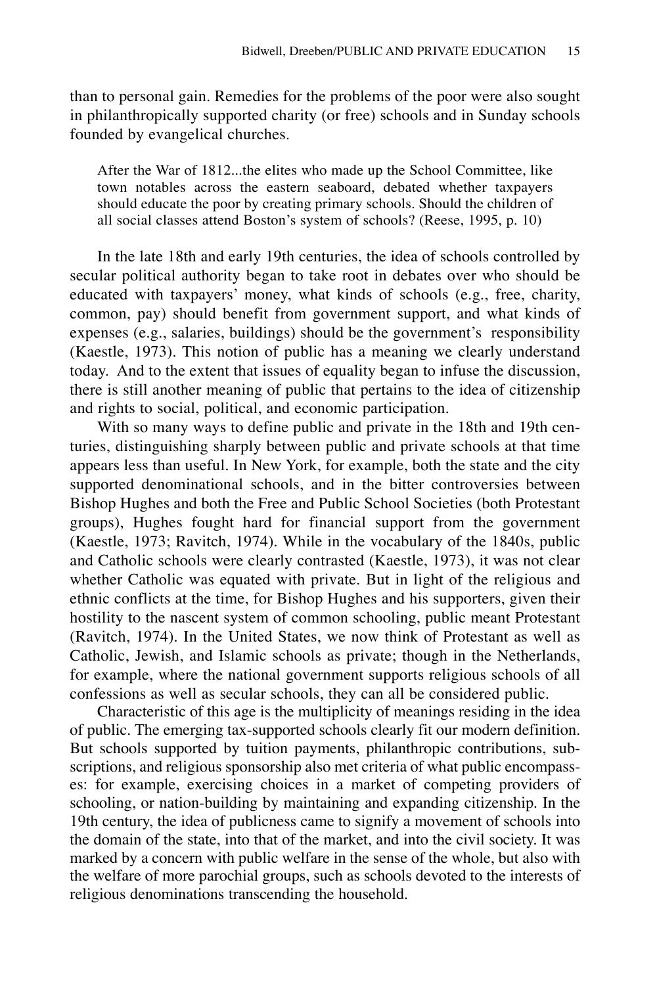than to personal gain. Remedies for the problems of the poor were also sought in philanthropically supported charity (or free) schools and in Sunday schools founded by evangelical churches.

After the War of 1812...the elites who made up the School Committee, like town notables across the eastern seaboard, debated whether taxpayers should educate the poor by creating primary schools. Should the children of all social classes attend Boston's system of schools? (Reese, 1995, p. 10)

In the late 18th and early 19th centuries, the idea of schools controlled by secular political authority began to take root in debates over who should be educated with taxpayers' money, what kinds of schools (e.g., free, charity, common, pay) should benefit from government support, and what kinds of expenses (e.g., salaries, buildings) should be the government's responsibility (Kaestle, 1973). This notion of public has a meaning we clearly understand today. And to the extent that issues of equality began to infuse the discussion, there is still another meaning of public that pertains to the idea of citizenship and rights to social, political, and economic participation.

With so many ways to define public and private in the 18th and 19th centuries, distinguishing sharply between public and private schools at that time appears less than useful. In New York, for example, both the state and the city supported denominational schools, and in the bitter controversies between Bishop Hughes and both the Free and Public School Societies (both Protestant groups), Hughes fought hard for financial support from the government (Kaestle, 1973; Ravitch, 1974). While in the vocabulary of the 1840s, public and Catholic schools were clearly contrasted (Kaestle, 1973), it was not clear whether Catholic was equated with private. But in light of the religious and ethnic conflicts at the time, for Bishop Hughes and his supporters, given their hostility to the nascent system of common schooling, public meant Protestant (Ravitch, 1974). In the United States, we now think of Protestant as well as Catholic, Jewish, and Islamic schools as private; though in the Netherlands, for example, where the national government supports religious schools of all confessions as well as secular schools, they can all be considered public.

Characteristic of this age is the multiplicity of meanings residing in the idea of public. The emerging tax-supported schools clearly fit our modern definition. But schools supported by tuition payments, philanthropic contributions, subscriptions, and religious sponsorship also met criteria of what public encompasses: for example, exercising choices in a market of competing providers of schooling, or nation-building by maintaining and expanding citizenship. In the 19th century, the idea of publicness came to signify a movement of schools into the domain of the state, into that of the market, and into the civil society. It was marked by a concern with public welfare in the sense of the whole, but also with the welfare of more parochial groups, such as schools devoted to the interests of religious denominations transcending the household.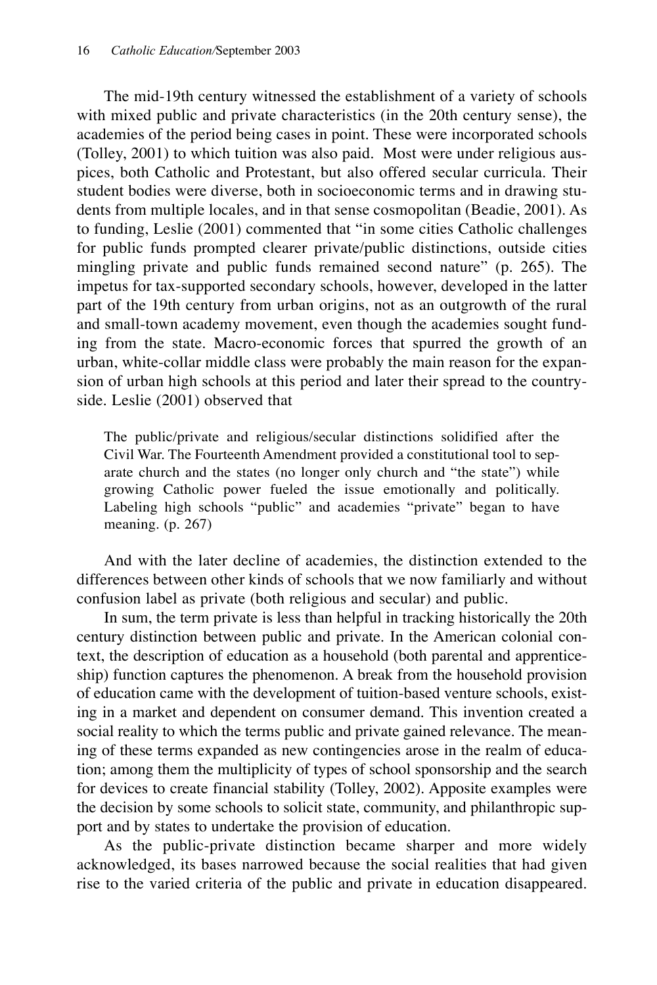The mid-19th century witnessed the establishment of a variety of schools with mixed public and private characteristics (in the 20th century sense), the academies of the period being cases in point. These were incorporated schools (Tolley, 2001) to which tuition was also paid. Most were under religious auspices, both Catholic and Protestant, but also offered secular curricula. Their student bodies were diverse, both in socioeconomic terms and in drawing students from multiple locales, and in that sense cosmopolitan (Beadie, 2001). As to funding, Leslie (2001) commented that "in some cities Catholic challenges for public funds prompted clearer private/public distinctions, outside cities mingling private and public funds remained second nature" (p. 265). The impetus for tax-supported secondary schools, however, developed in the latter part of the 19th century from urban origins, not as an outgrowth of the rural and small-town academy movement, even though the academies sought funding from the state. Macro-economic forces that spurred the growth of an urban, white-collar middle class were probably the main reason for the expansion of urban high schools at this period and later their spread to the countryside. Leslie (2001) observed that

The public/private and religious/secular distinctions solidified after the Civil War. The Fourteenth Amendment provided a constitutional tool to separate church and the states (no longer only church and "the state") while growing Catholic power fueled the issue emotionally and politically. Labeling high schools "public" and academies "private" began to have meaning. (p. 267)

And with the later decline of academies, the distinction extended to the differences between other kinds of schools that we now familiarly and without confusion label as private (both religious and secular) and public.

In sum, the term private is less than helpful in tracking historically the 20th century distinction between public and private. In the American colonial context, the description of education as a household (both parental and apprenticeship) function captures the phenomenon. A break from the household provision of education came with the development of tuition-based venture schools, existing in a market and dependent on consumer demand. This invention created a social reality to which the terms public and private gained relevance. The meaning of these terms expanded as new contingencies arose in the realm of education; among them the multiplicity of types of school sponsorship and the search for devices to create financial stability (Tolley, 2002). Apposite examples were the decision by some schools to solicit state, community, and philanthropic support and by states to undertake the provision of education.

As the public-private distinction became sharper and more widely acknowledged, its bases narrowed because the social realities that had given rise to the varied criteria of the public and private in education disappeared.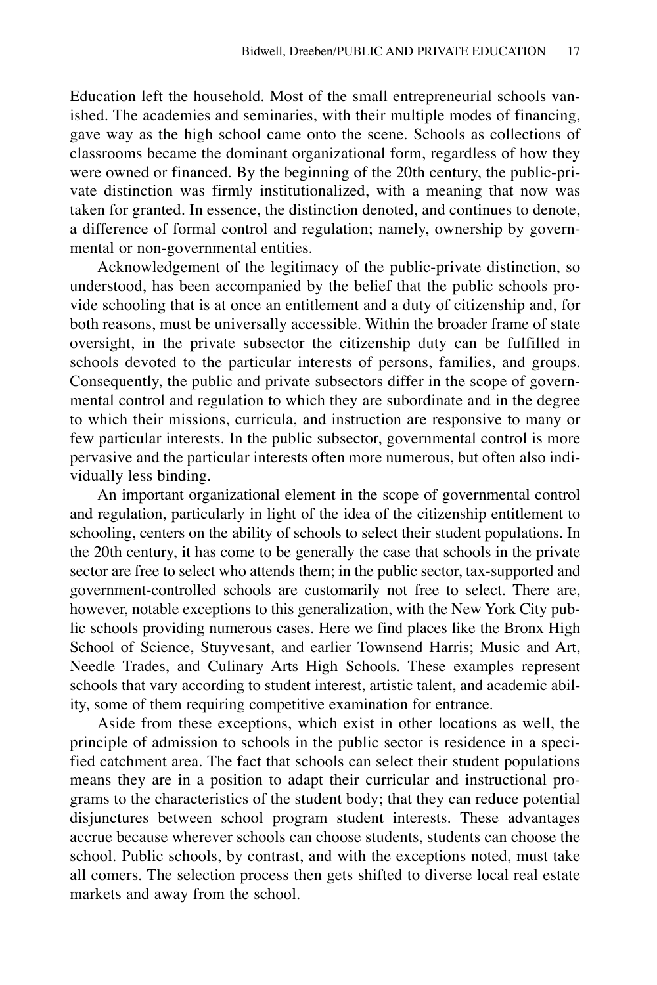Education left the household. Most of the small entrepreneurial schools vanished. The academies and seminaries, with their multiple modes of financing, gave way as the high school came onto the scene. Schools as collections of classrooms became the dominant organizational form, regardless of how they were owned or financed. By the beginning of the 20th century, the public-private distinction was firmly institutionalized, with a meaning that now was taken for granted. In essence, the distinction denoted, and continues to denote, a difference of formal control and regulation; namely, ownership by governmental or non-governmental entities.

Acknowledgement of the legitimacy of the public-private distinction, so understood, has been accompanied by the belief that the public schools provide schooling that is at once an entitlement and a duty of citizenship and, for both reasons, must be universally accessible. Within the broader frame of state oversight, in the private subsector the citizenship duty can be fulfilled in schools devoted to the particular interests of persons, families, and groups. Consequently, the public and private subsectors differ in the scope of governmental control and regulation to which they are subordinate and in the degree to which their missions, curricula, and instruction are responsive to many or few particular interests. In the public subsector, governmental control is more pervasive and the particular interests often more numerous, but often also individually less binding.

An important organizational element in the scope of governmental control and regulation, particularly in light of the idea of the citizenship entitlement to schooling, centers on the ability of schools to select their student populations. In the 20th century, it has come to be generally the case that schools in the private sector are free to select who attends them; in the public sector, tax-supported and government-controlled schools are customarily not free to select. There are, however, notable exceptions to this generalization, with the New York City public schools providing numerous cases. Here we find places like the Bronx High School of Science, Stuyvesant, and earlier Townsend Harris; Music and Art, Needle Trades, and Culinary Arts High Schools. These examples represent schools that vary according to student interest, artistic talent, and academic ability, some of them requiring competitive examination for entrance.

Aside from these exceptions, which exist in other locations as well, the principle of admission to schools in the public sector is residence in a specified catchment area. The fact that schools can select their student populations means they are in a position to adapt their curricular and instructional programs to the characteristics of the student body; that they can reduce potential disjunctures between school program student interests. These advantages accrue because wherever schools can choose students, students can choose the school. Public schools, by contrast, and with the exceptions noted, must take all comers. The selection process then gets shifted to diverse local real estate markets and away from the school.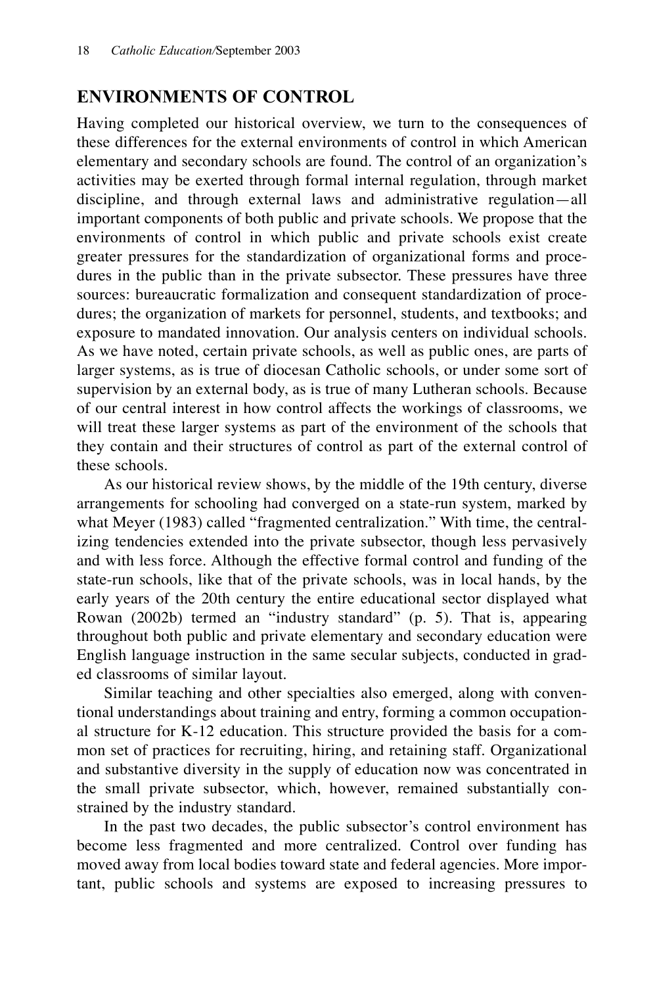#### **ENVIRONMENTS OF CONTROL**

Having completed our historical overview, we turn to the consequences of these differences for the external environments of control in which American elementary and secondary schools are found. The control of an organization's activities may be exerted through formal internal regulation, through market discipline, and through external laws and administrative regulation—all important components of both public and private schools. We propose that the environments of control in which public and private schools exist create greater pressures for the standardization of organizational forms and procedures in the public than in the private subsector. These pressures have three sources: bureaucratic formalization and consequent standardization of procedures; the organization of markets for personnel, students, and textbooks; and exposure to mandated innovation. Our analysis centers on individual schools. As we have noted, certain private schools, as well as public ones, are parts of larger systems, as is true of diocesan Catholic schools, or under some sort of supervision by an external body, as is true of many Lutheran schools. Because of our central interest in how control affects the workings of classrooms, we will treat these larger systems as part of the environment of the schools that they contain and their structures of control as part of the external control of these schools.

As our historical review shows, by the middle of the 19th century, diverse arrangements for schooling had converged on a state-run system, marked by what Meyer (1983) called "fragmented centralization." With time, the centralizing tendencies extended into the private subsector, though less pervasively and with less force. Although the effective formal control and funding of the state-run schools, like that of the private schools, was in local hands, by the early years of the 20th century the entire educational sector displayed what Rowan (2002b) termed an "industry standard" (p. 5). That is, appearing throughout both public and private elementary and secondary education were English language instruction in the same secular subjects, conducted in graded classrooms of similar layout.

Similar teaching and other specialties also emerged, along with conventional understandings about training and entry, forming a common occupational structure for K-12 education. This structure provided the basis for a common set of practices for recruiting, hiring, and retaining staff. Organizational and substantive diversity in the supply of education now was concentrated in the small private subsector, which, however, remained substantially constrained by the industry standard.

In the past two decades, the public subsector's control environment has become less fragmented and more centralized. Control over funding has moved away from local bodies toward state and federal agencies. More important, public schools and systems are exposed to increasing pressures to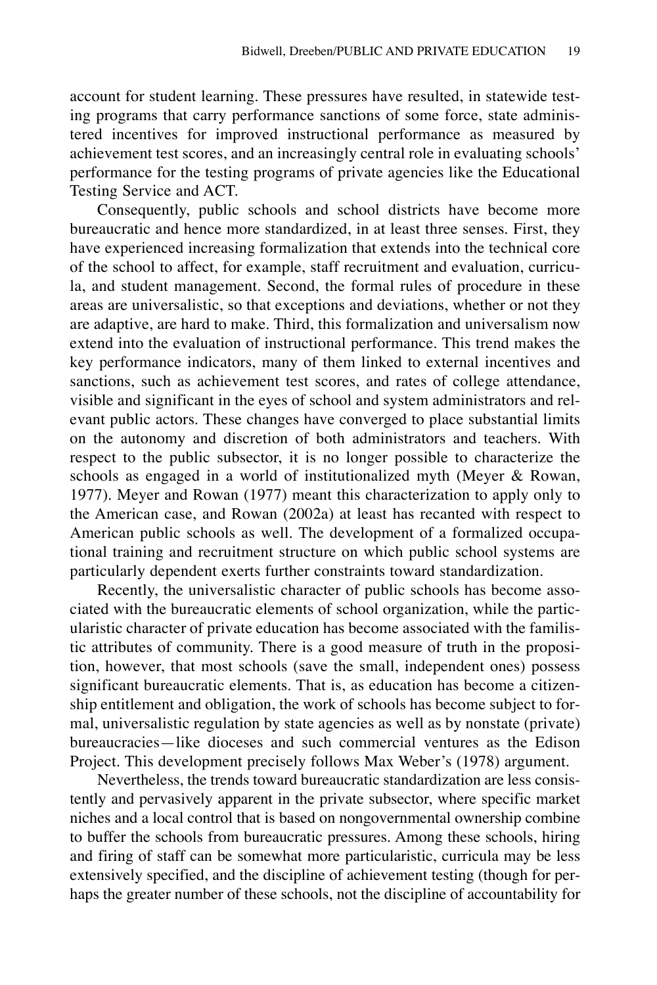account for student learning. These pressures have resulted, in statewide testing programs that carry performance sanctions of some force, state administered incentives for improved instructional performance as measured by achievement test scores, and an increasingly central role in evaluating schools' performance for the testing programs of private agencies like the Educational Testing Service and ACT.

Consequently, public schools and school districts have become more bureaucratic and hence more standardized, in at least three senses. First, they have experienced increasing formalization that extends into the technical core of the school to affect, for example, staff recruitment and evaluation, curricula, and student management. Second, the formal rules of procedure in these areas are universalistic, so that exceptions and deviations, whether or not they are adaptive, are hard to make. Third, this formalization and universalism now extend into the evaluation of instructional performance. This trend makes the key performance indicators, many of them linked to external incentives and sanctions, such as achievement test scores, and rates of college attendance, visible and significant in the eyes of school and system administrators and relevant public actors. These changes have converged to place substantial limits on the autonomy and discretion of both administrators and teachers. With respect to the public subsector, it is no longer possible to characterize the schools as engaged in a world of institutionalized myth (Meyer & Rowan, 1977). Meyer and Rowan (1977) meant this characterization to apply only to the American case, and Rowan (2002a) at least has recanted with respect to American public schools as well. The development of a formalized occupational training and recruitment structure on which public school systems are particularly dependent exerts further constraints toward standardization.

Recently, the universalistic character of public schools has become associated with the bureaucratic elements of school organization, while the particularistic character of private education has become associated with the familistic attributes of community. There is a good measure of truth in the proposition, however, that most schools (save the small, independent ones) possess significant bureaucratic elements. That is, as education has become a citizenship entitlement and obligation, the work of schools has become subject to formal, universalistic regulation by state agencies as well as by nonstate (private) bureaucracies—like dioceses and such commercial ventures as the Edison Project. This development precisely follows Max Weber's (1978) argument.

Nevertheless, the trends toward bureaucratic standardization are less consistently and pervasively apparent in the private subsector, where specific market niches and a local control that is based on nongovernmental ownership combine to buffer the schools from bureaucratic pressures. Among these schools, hiring and firing of staff can be somewhat more particularistic, curricula may be less extensively specified, and the discipline of achievement testing (though for perhaps the greater number of these schools, not the discipline of accountability for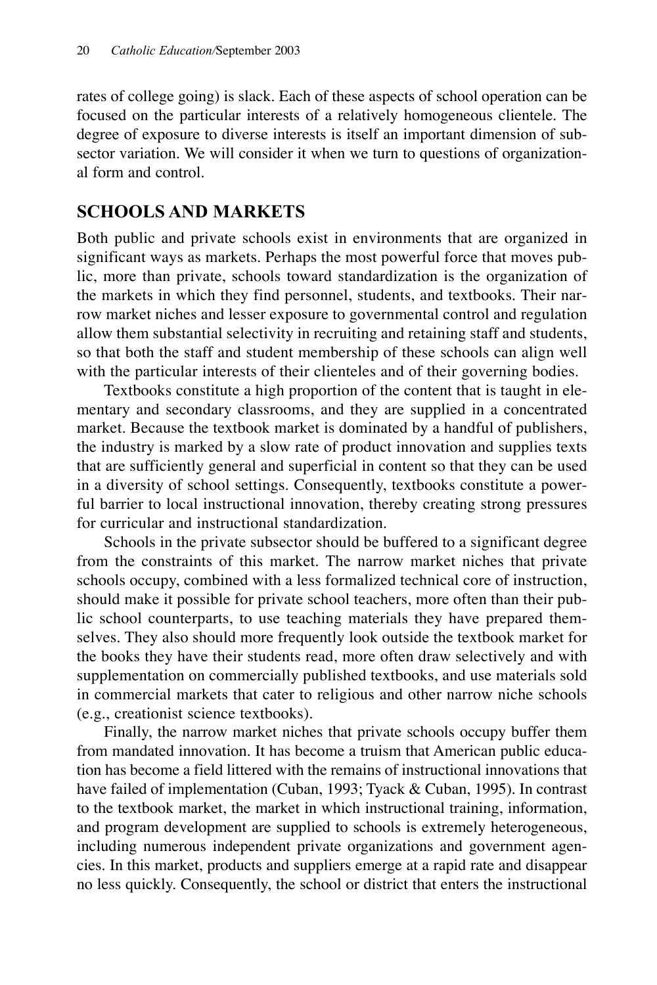rates of college going) is slack. Each of these aspects of school operation can be focused on the particular interests of a relatively homogeneous clientele. The degree of exposure to diverse interests is itself an important dimension of subsector variation. We will consider it when we turn to questions of organizational form and control.

#### **SCHOOLS AND MARKETS**

Both public and private schools exist in environments that are organized in significant ways as markets. Perhaps the most powerful force that moves public, more than private, schools toward standardization is the organization of the markets in which they find personnel, students, and textbooks. Their narrow market niches and lesser exposure to governmental control and regulation allow them substantial selectivity in recruiting and retaining staff and students, so that both the staff and student membership of these schools can align well with the particular interests of their clienteles and of their governing bodies.

Textbooks constitute a high proportion of the content that is taught in elementary and secondary classrooms, and they are supplied in a concentrated market. Because the textbook market is dominated by a handful of publishers, the industry is marked by a slow rate of product innovation and supplies texts that are sufficiently general and superficial in content so that they can be used in a diversity of school settings. Consequently, textbooks constitute a powerful barrier to local instructional innovation, thereby creating strong pressures for curricular and instructional standardization.

Schools in the private subsector should be buffered to a significant degree from the constraints of this market. The narrow market niches that private schools occupy, combined with a less formalized technical core of instruction, should make it possible for private school teachers, more often than their public school counterparts, to use teaching materials they have prepared themselves. They also should more frequently look outside the textbook market for the books they have their students read, more often draw selectively and with supplementation on commercially published textbooks, and use materials sold in commercial markets that cater to religious and other narrow niche schools (e.g., creationist science textbooks).

Finally, the narrow market niches that private schools occupy buffer them from mandated innovation. It has become a truism that American public education has become a field littered with the remains of instructional innovations that have failed of implementation (Cuban, 1993; Tyack & Cuban, 1995). In contrast to the textbook market, the market in which instructional training, information, and program development are supplied to schools is extremely heterogeneous, including numerous independent private organizations and government agencies. In this market, products and suppliers emerge at a rapid rate and disappear no less quickly. Consequently, the school or district that enters the instructional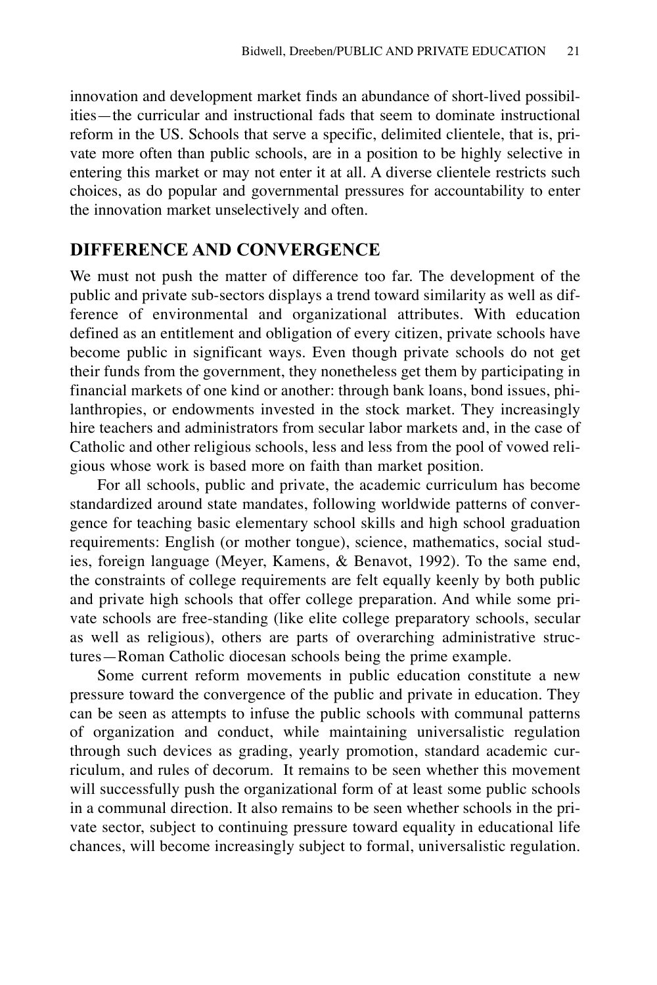innovation and development market finds an abundance of short-lived possibilities—the curricular and instructional fads that seem to dominate instructional reform in the US. Schools that serve a specific, delimited clientele, that is, private more often than public schools, are in a position to be highly selective in entering this market or may not enter it at all. A diverse clientele restricts such choices, as do popular and governmental pressures for accountability to enter the innovation market unselectively and often.

#### **DIFFERENCE AND CONVERGENCE**

We must not push the matter of difference too far. The development of the public and private sub-sectors displays a trend toward similarity as well as difference of environmental and organizational attributes. With education defined as an entitlement and obligation of every citizen, private schools have become public in significant ways. Even though private schools do not get their funds from the government, they nonetheless get them by participating in financial markets of one kind or another: through bank loans, bond issues, philanthropies, or endowments invested in the stock market. They increasingly hire teachers and administrators from secular labor markets and, in the case of Catholic and other religious schools, less and less from the pool of vowed religious whose work is based more on faith than market position.

For all schools, public and private, the academic curriculum has become standardized around state mandates, following worldwide patterns of convergence for teaching basic elementary school skills and high school graduation requirements: English (or mother tongue), science, mathematics, social studies, foreign language (Meyer, Kamens, & Benavot, 1992). To the same end, the constraints of college requirements are felt equally keenly by both public and private high schools that offer college preparation. And while some private schools are free-standing (like elite college preparatory schools, secular as well as religious), others are parts of overarching administrative structures—Roman Catholic diocesan schools being the prime example.

Some current reform movements in public education constitute a new pressure toward the convergence of the public and private in education. They can be seen as attempts to infuse the public schools with communal patterns of organization and conduct, while maintaining universalistic regulation through such devices as grading, yearly promotion, standard academic curriculum, and rules of decorum. It remains to be seen whether this movement will successfully push the organizational form of at least some public schools in a communal direction. It also remains to be seen whether schools in the private sector, subject to continuing pressure toward equality in educational life chances, will become increasingly subject to formal, universalistic regulation.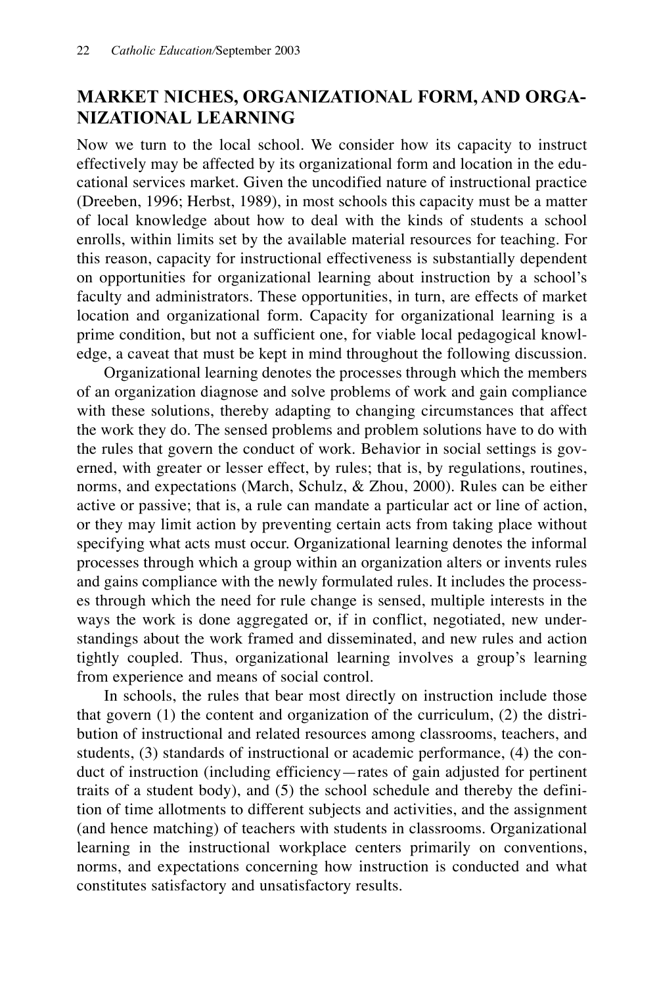### **MARKET NICHES, ORGANIZATIONAL FORM, AND ORGA-NIZATIONAL LEARNING**

Now we turn to the local school. We consider how its capacity to instruct effectively may be affected by its organizational form and location in the educational services market. Given the uncodified nature of instructional practice (Dreeben, 1996; Herbst, 1989), in most schools this capacity must be a matter of local knowledge about how to deal with the kinds of students a school enrolls, within limits set by the available material resources for teaching. For this reason, capacity for instructional effectiveness is substantially dependent on opportunities for organizational learning about instruction by a school's faculty and administrators. These opportunities, in turn, are effects of market location and organizational form. Capacity for organizational learning is a prime condition, but not a sufficient one, for viable local pedagogical knowledge, a caveat that must be kept in mind throughout the following discussion.

Organizational learning denotes the processes through which the members of an organization diagnose and solve problems of work and gain compliance with these solutions, thereby adapting to changing circumstances that affect the work they do. The sensed problems and problem solutions have to do with the rules that govern the conduct of work. Behavior in social settings is governed, with greater or lesser effect, by rules; that is, by regulations, routines, norms, and expectations (March, Schulz, & Zhou, 2000). Rules can be either active or passive; that is, a rule can mandate a particular act or line of action, or they may limit action by preventing certain acts from taking place without specifying what acts must occur. Organizational learning denotes the informal processes through which a group within an organization alters or invents rules and gains compliance with the newly formulated rules. It includes the processes through which the need for rule change is sensed, multiple interests in the ways the work is done aggregated or, if in conflict, negotiated, new understandings about the work framed and disseminated, and new rules and action tightly coupled. Thus, organizational learning involves a group's learning from experience and means of social control.

In schools, the rules that bear most directly on instruction include those that govern  $(1)$  the content and organization of the curriculum,  $(2)$  the distribution of instructional and related resources among classrooms, teachers, and students, (3) standards of instructional or academic performance, (4) the conduct of instruction (including efficiency—rates of gain adjusted for pertinent traits of a student body), and (5) the school schedule and thereby the definition of time allotments to different subjects and activities, and the assignment (and hence matching) of teachers with students in classrooms. Organizational learning in the instructional workplace centers primarily on conventions, norms, and expectations concerning how instruction is conducted and what constitutes satisfactory and unsatisfactory results.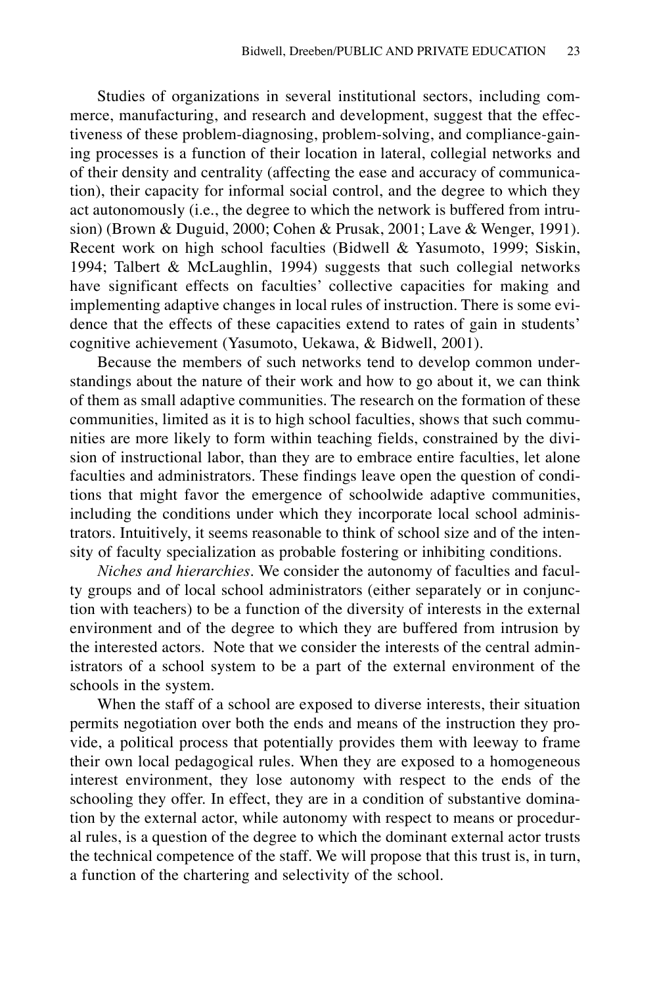Studies of organizations in several institutional sectors, including commerce, manufacturing, and research and development, suggest that the effectiveness of these problem-diagnosing, problem-solving, and compliance-gaining processes is a function of their location in lateral, collegial networks and of their density and centrality (affecting the ease and accuracy of communication), their capacity for informal social control, and the degree to which they act autonomously (i.e., the degree to which the network is buffered from intrusion) (Brown & Duguid, 2000; Cohen & Prusak, 2001; Lave & Wenger, 1991). Recent work on high school faculties (Bidwell & Yasumoto, 1999; Siskin, 1994; Talbert & McLaughlin, 1994) suggests that such collegial networks have significant effects on faculties' collective capacities for making and implementing adaptive changes in local rules of instruction. There is some evidence that the effects of these capacities extend to rates of gain in students' cognitive achievement (Yasumoto, Uekawa, & Bidwell, 2001).

Because the members of such networks tend to develop common understandings about the nature of their work and how to go about it, we can think of them as small adaptive communities. The research on the formation of these communities, limited as it is to high school faculties, shows that such communities are more likely to form within teaching fields, constrained by the division of instructional labor, than they are to embrace entire faculties, let alone faculties and administrators. These findings leave open the question of conditions that might favor the emergence of schoolwide adaptive communities, including the conditions under which they incorporate local school administrators. Intuitively, it seems reasonable to think of school size and of the intensity of faculty specialization as probable fostering or inhibiting conditions.

*Niches and hierarchies*. We consider the autonomy of faculties and faculty groups and of local school administrators (either separately or in conjunction with teachers) to be a function of the diversity of interests in the external environment and of the degree to which they are buffered from intrusion by the interested actors. Note that we consider the interests of the central administrators of a school system to be a part of the external environment of the schools in the system.

When the staff of a school are exposed to diverse interests, their situation permits negotiation over both the ends and means of the instruction they provide, a political process that potentially provides them with leeway to frame their own local pedagogical rules. When they are exposed to a homogeneous interest environment, they lose autonomy with respect to the ends of the schooling they offer. In effect, they are in a condition of substantive domination by the external actor, while autonomy with respect to means or procedural rules, is a question of the degree to which the dominant external actor trusts the technical competence of the staff. We will propose that this trust is, in turn, a function of the chartering and selectivity of the school.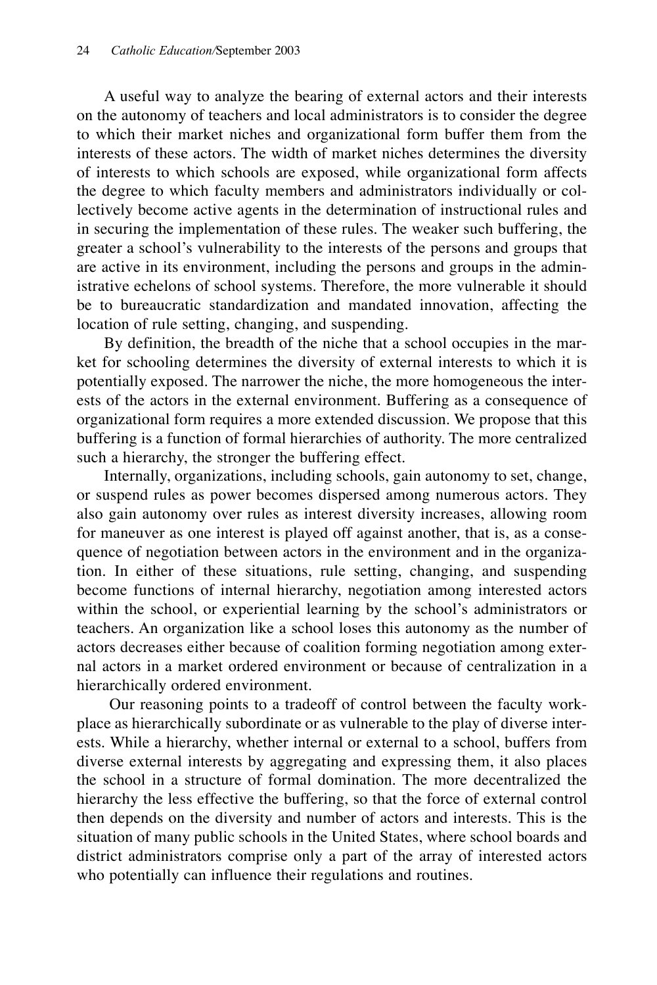A useful way to analyze the bearing of external actors and their interests on the autonomy of teachers and local administrators is to consider the degree to which their market niches and organizational form buffer them from the interests of these actors. The width of market niches determines the diversity of interests to which schools are exposed, while organizational form affects the degree to which faculty members and administrators individually or collectively become active agents in the determination of instructional rules and in securing the implementation of these rules. The weaker such buffering, the greater a school's vulnerability to the interests of the persons and groups that are active in its environment, including the persons and groups in the administrative echelons of school systems. Therefore, the more vulnerable it should be to bureaucratic standardization and mandated innovation, affecting the location of rule setting, changing, and suspending.

By definition, the breadth of the niche that a school occupies in the market for schooling determines the diversity of external interests to which it is potentially exposed. The narrower the niche, the more homogeneous the interests of the actors in the external environment. Buffering as a consequence of organizational form requires a more extended discussion. We propose that this buffering is a function of formal hierarchies of authority. The more centralized such a hierarchy, the stronger the buffering effect.

Internally, organizations, including schools, gain autonomy to set, change, or suspend rules as power becomes dispersed among numerous actors. They also gain autonomy over rules as interest diversity increases, allowing room for maneuver as one interest is played off against another, that is, as a consequence of negotiation between actors in the environment and in the organization. In either of these situations, rule setting, changing, and suspending become functions of internal hierarchy, negotiation among interested actors within the school, or experiential learning by the school's administrators or teachers. An organization like a school loses this autonomy as the number of actors decreases either because of coalition forming negotiation among external actors in a market ordered environment or because of centralization in a hierarchically ordered environment.

Our reasoning points to a tradeoff of control between the faculty workplace as hierarchically subordinate or as vulnerable to the play of diverse interests. While a hierarchy, whether internal or external to a school, buffers from diverse external interests by aggregating and expressing them, it also places the school in a structure of formal domination. The more decentralized the hierarchy the less effective the buffering, so that the force of external control then depends on the diversity and number of actors and interests. This is the situation of many public schools in the United States, where school boards and district administrators comprise only a part of the array of interested actors who potentially can influence their regulations and routines.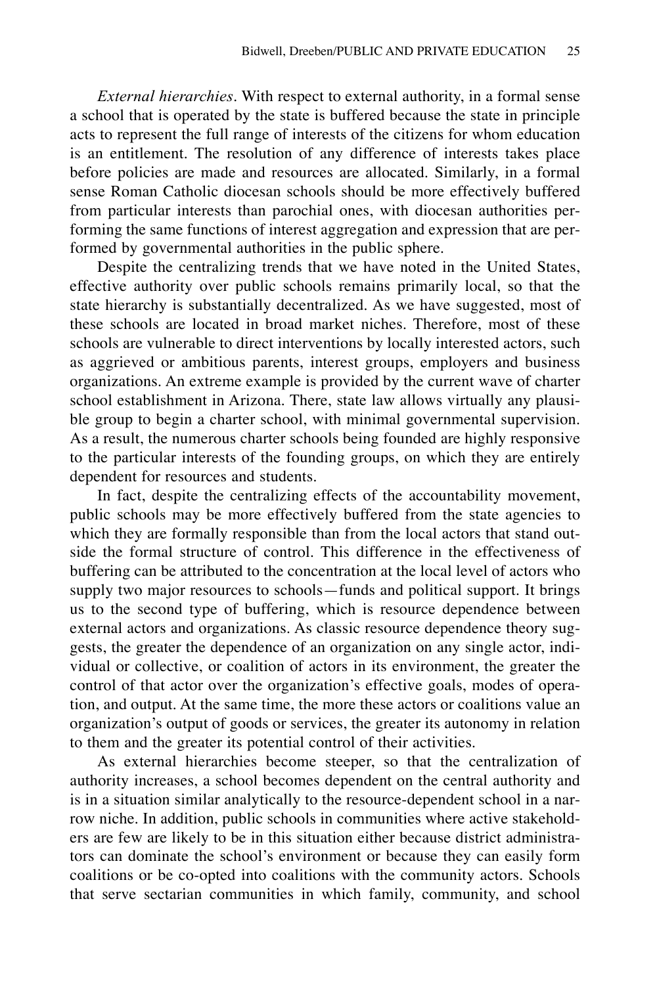*External hierarchies*. With respect to external authority, in a formal sense a school that is operated by the state is buffered because the state in principle acts to represent the full range of interests of the citizens for whom education is an entitlement. The resolution of any difference of interests takes place before policies are made and resources are allocated. Similarly, in a formal sense Roman Catholic diocesan schools should be more effectively buffered from particular interests than parochial ones, with diocesan authorities performing the same functions of interest aggregation and expression that are performed by governmental authorities in the public sphere.

Despite the centralizing trends that we have noted in the United States, effective authority over public schools remains primarily local, so that the state hierarchy is substantially decentralized. As we have suggested, most of these schools are located in broad market niches. Therefore, most of these schools are vulnerable to direct interventions by locally interested actors, such as aggrieved or ambitious parents, interest groups, employers and business organizations. An extreme example is provided by the current wave of charter school establishment in Arizona. There, state law allows virtually any plausible group to begin a charter school, with minimal governmental supervision. As a result, the numerous charter schools being founded are highly responsive to the particular interests of the founding groups, on which they are entirely dependent for resources and students.

In fact, despite the centralizing effects of the accountability movement, public schools may be more effectively buffered from the state agencies to which they are formally responsible than from the local actors that stand outside the formal structure of control. This difference in the effectiveness of buffering can be attributed to the concentration at the local level of actors who supply two major resources to schools—funds and political support. It brings us to the second type of buffering, which is resource dependence between external actors and organizations. As classic resource dependence theory suggests, the greater the dependence of an organization on any single actor, individual or collective, or coalition of actors in its environment, the greater the control of that actor over the organization's effective goals, modes of operation, and output. At the same time, the more these actors or coalitions value an organization's output of goods or services, the greater its autonomy in relation to them and the greater its potential control of their activities.

As external hierarchies become steeper, so that the centralization of authority increases, a school becomes dependent on the central authority and is in a situation similar analytically to the resource-dependent school in a narrow niche. In addition, public schools in communities where active stakeholders are few are likely to be in this situation either because district administrators can dominate the school's environment or because they can easily form coalitions or be co-opted into coalitions with the community actors. Schools that serve sectarian communities in which family, community, and school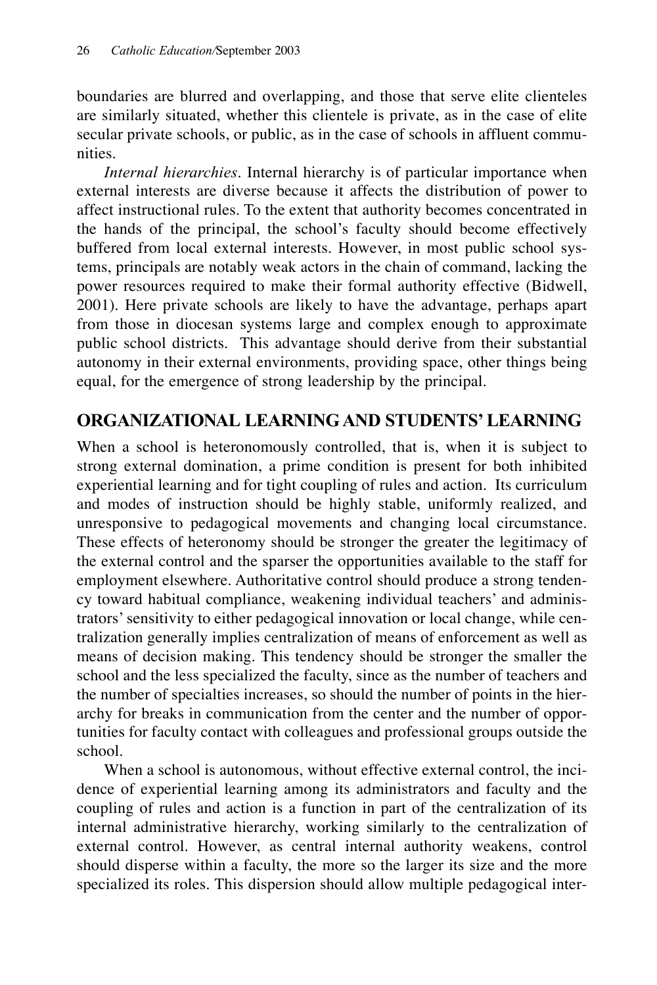boundaries are blurred and overlapping, and those that serve elite clienteles are similarly situated, whether this clientele is private, as in the case of elite secular private schools, or public, as in the case of schools in affluent communities.

*Internal hierarchies*. Internal hierarchy is of particular importance when external interests are diverse because it affects the distribution of power to affect instructional rules. To the extent that authority becomes concentrated in the hands of the principal, the school's faculty should become effectively buffered from local external interests. However, in most public school systems, principals are notably weak actors in the chain of command, lacking the power resources required to make their formal authority effective (Bidwell, 2001). Here private schools are likely to have the advantage, perhaps apart from those in diocesan systems large and complex enough to approximate public school districts. This advantage should derive from their substantial autonomy in their external environments, providing space, other things being equal, for the emergence of strong leadership by the principal.

#### **ORGANIZATIONAL LEARNING AND STUDENTS' LEARNING**

When a school is heteronomously controlled, that is, when it is subject to strong external domination, a prime condition is present for both inhibited experiential learning and for tight coupling of rules and action. Its curriculum and modes of instruction should be highly stable, uniformly realized, and unresponsive to pedagogical movements and changing local circumstance. These effects of heteronomy should be stronger the greater the legitimacy of the external control and the sparser the opportunities available to the staff for employment elsewhere. Authoritative control should produce a strong tendency toward habitual compliance, weakening individual teachers' and administrators' sensitivity to either pedagogical innovation or local change, while centralization generally implies centralization of means of enforcement as well as means of decision making. This tendency should be stronger the smaller the school and the less specialized the faculty, since as the number of teachers and the number of specialties increases, so should the number of points in the hierarchy for breaks in communication from the center and the number of opportunities for faculty contact with colleagues and professional groups outside the school.

When a school is autonomous, without effective external control, the incidence of experiential learning among its administrators and faculty and the coupling of rules and action is a function in part of the centralization of its internal administrative hierarchy, working similarly to the centralization of external control. However, as central internal authority weakens, control should disperse within a faculty, the more so the larger its size and the more specialized its roles. This dispersion should allow multiple pedagogical inter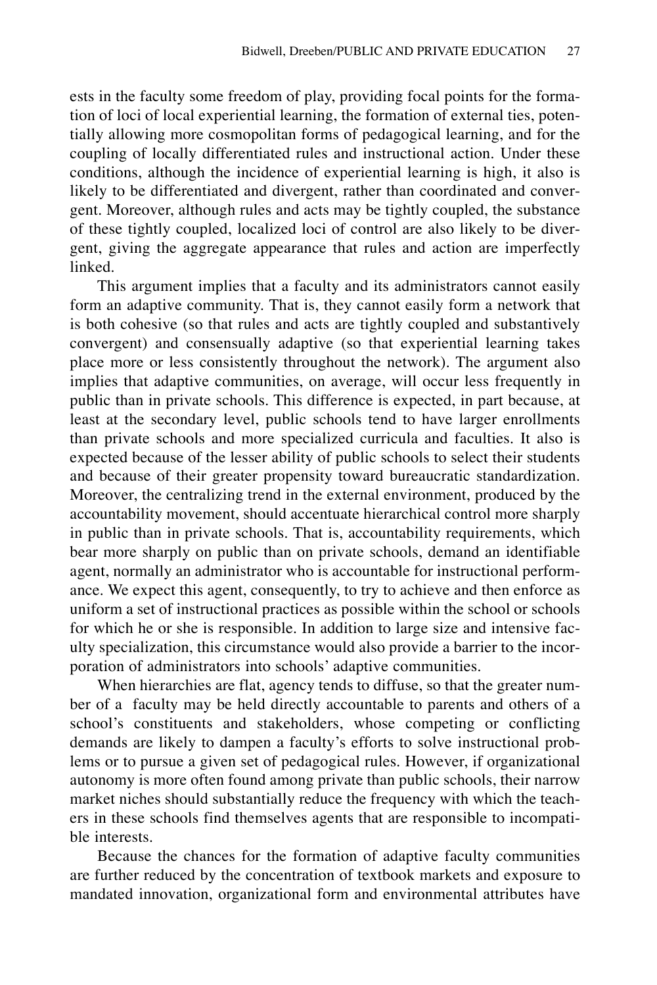ests in the faculty some freedom of play, providing focal points for the formation of loci of local experiential learning, the formation of external ties, potentially allowing more cosmopolitan forms of pedagogical learning, and for the coupling of locally differentiated rules and instructional action. Under these conditions, although the incidence of experiential learning is high, it also is likely to be differentiated and divergent, rather than coordinated and convergent. Moreover, although rules and acts may be tightly coupled, the substance of these tightly coupled, localized loci of control are also likely to be divergent, giving the aggregate appearance that rules and action are imperfectly linked.

This argument implies that a faculty and its administrators cannot easily form an adaptive community. That is, they cannot easily form a network that is both cohesive (so that rules and acts are tightly coupled and substantively convergent) and consensually adaptive (so that experiential learning takes place more or less consistently throughout the network). The argument also implies that adaptive communities, on average, will occur less frequently in public than in private schools. This difference is expected, in part because, at least at the secondary level, public schools tend to have larger enrollments than private schools and more specialized curricula and faculties. It also is expected because of the lesser ability of public schools to select their students and because of their greater propensity toward bureaucratic standardization. Moreover, the centralizing trend in the external environment, produced by the accountability movement, should accentuate hierarchical control more sharply in public than in private schools. That is, accountability requirements, which bear more sharply on public than on private schools, demand an identifiable agent, normally an administrator who is accountable for instructional performance. We expect this agent, consequently, to try to achieve and then enforce as uniform a set of instructional practices as possible within the school or schools for which he or she is responsible. In addition to large size and intensive faculty specialization, this circumstance would also provide a barrier to the incorporation of administrators into schools' adaptive communities.

When hierarchies are flat, agency tends to diffuse, so that the greater number of a faculty may be held directly accountable to parents and others of a school's constituents and stakeholders, whose competing or conflicting demands are likely to dampen a faculty's efforts to solve instructional problems or to pursue a given set of pedagogical rules. However, if organizational autonomy is more often found among private than public schools, their narrow market niches should substantially reduce the frequency with which the teachers in these schools find themselves agents that are responsible to incompatible interests.

Because the chances for the formation of adaptive faculty communities are further reduced by the concentration of textbook markets and exposure to mandated innovation, organizational form and environmental attributes have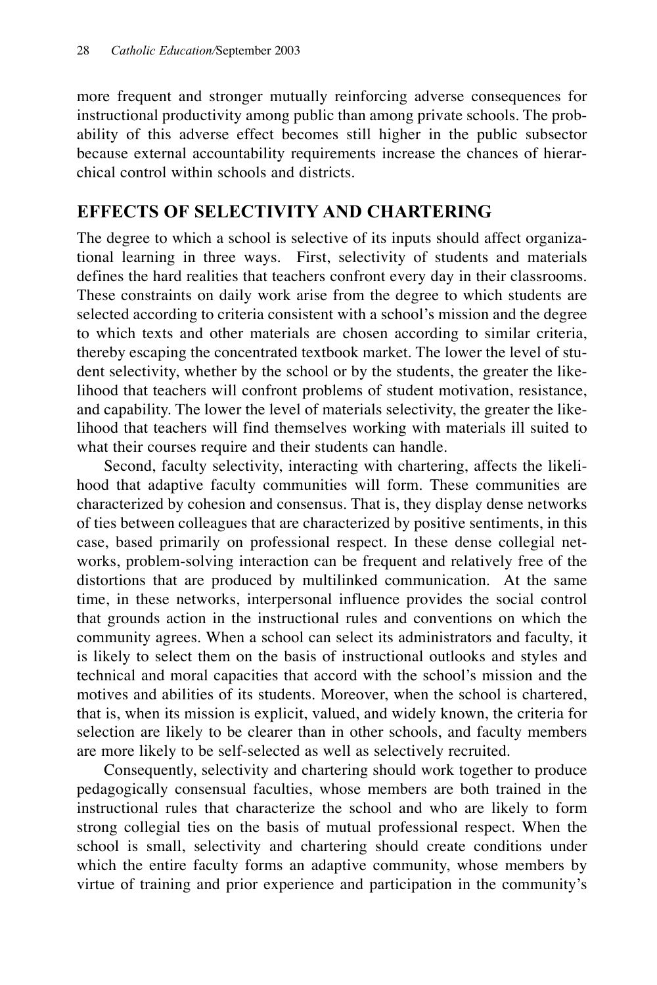more frequent and stronger mutually reinforcing adverse consequences for instructional productivity among public than among private schools. The probability of this adverse effect becomes still higher in the public subsector because external accountability requirements increase the chances of hierarchical control within schools and districts.

### **EFFECTS OF SELECTIVITY AND CHARTERING**

The degree to which a school is selective of its inputs should affect organizational learning in three ways. First, selectivity of students and materials defines the hard realities that teachers confront every day in their classrooms. These constraints on daily work arise from the degree to which students are selected according to criteria consistent with a school's mission and the degree to which texts and other materials are chosen according to similar criteria, thereby escaping the concentrated textbook market. The lower the level of student selectivity, whether by the school or by the students, the greater the likelihood that teachers will confront problems of student motivation, resistance, and capability. The lower the level of materials selectivity, the greater the likelihood that teachers will find themselves working with materials ill suited to what their courses require and their students can handle.

Second, faculty selectivity, interacting with chartering, affects the likelihood that adaptive faculty communities will form. These communities are characterized by cohesion and consensus. That is, they display dense networks of ties between colleagues that are characterized by positive sentiments, in this case, based primarily on professional respect. In these dense collegial networks, problem-solving interaction can be frequent and relatively free of the distortions that are produced by multilinked communication. At the same time, in these networks, interpersonal influence provides the social control that grounds action in the instructional rules and conventions on which the community agrees. When a school can select its administrators and faculty, it is likely to select them on the basis of instructional outlooks and styles and technical and moral capacities that accord with the school's mission and the motives and abilities of its students. Moreover, when the school is chartered, that is, when its mission is explicit, valued, and widely known, the criteria for selection are likely to be clearer than in other schools, and faculty members are more likely to be self-selected as well as selectively recruited.

Consequently, selectivity and chartering should work together to produce pedagogically consensual faculties, whose members are both trained in the instructional rules that characterize the school and who are likely to form strong collegial ties on the basis of mutual professional respect. When the school is small, selectivity and chartering should create conditions under which the entire faculty forms an adaptive community, whose members by virtue of training and prior experience and participation in the community's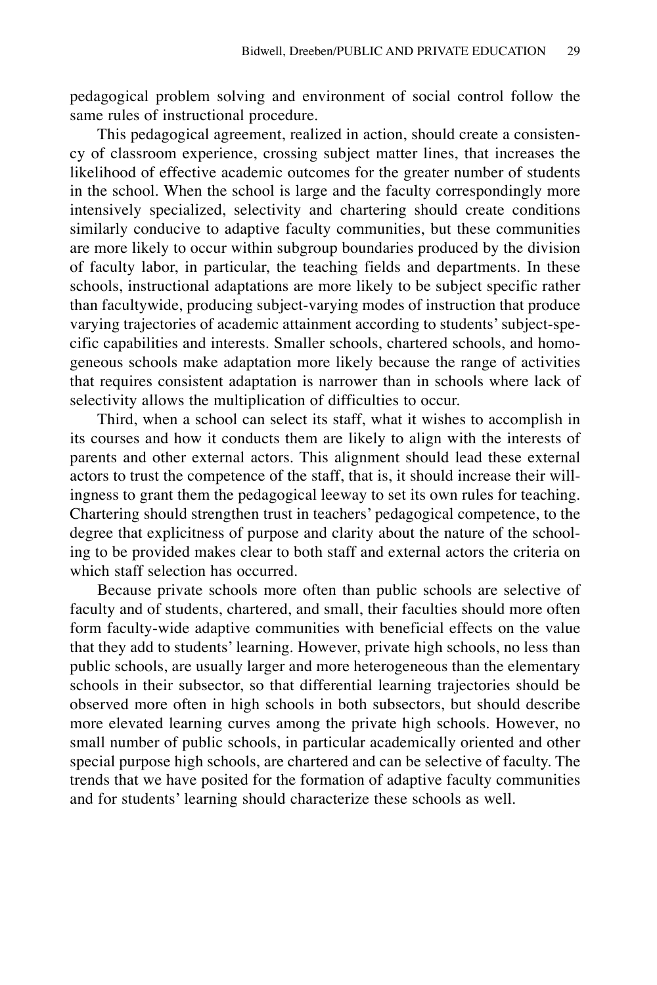pedagogical problem solving and environment of social control follow the same rules of instructional procedure.

This pedagogical agreement, realized in action, should create a consistency of classroom experience, crossing subject matter lines, that increases the likelihood of effective academic outcomes for the greater number of students in the school. When the school is large and the faculty correspondingly more intensively specialized, selectivity and chartering should create conditions similarly conducive to adaptive faculty communities, but these communities are more likely to occur within subgroup boundaries produced by the division of faculty labor, in particular, the teaching fields and departments. In these schools, instructional adaptations are more likely to be subject specific rather than facultywide, producing subject-varying modes of instruction that produce varying trajectories of academic attainment according to students' subject-specific capabilities and interests. Smaller schools, chartered schools, and homogeneous schools make adaptation more likely because the range of activities that requires consistent adaptation is narrower than in schools where lack of selectivity allows the multiplication of difficulties to occur.

Third, when a school can select its staff, what it wishes to accomplish in its courses and how it conducts them are likely to align with the interests of parents and other external actors. This alignment should lead these external actors to trust the competence of the staff, that is, it should increase their willingness to grant them the pedagogical leeway to set its own rules for teaching. Chartering should strengthen trust in teachers' pedagogical competence, to the degree that explicitness of purpose and clarity about the nature of the schooling to be provided makes clear to both staff and external actors the criteria on which staff selection has occurred.

Because private schools more often than public schools are selective of faculty and of students, chartered, and small, their faculties should more often form faculty-wide adaptive communities with beneficial effects on the value that they add to students' learning. However, private high schools, no less than public schools, are usually larger and more heterogeneous than the elementary schools in their subsector, so that differential learning trajectories should be observed more often in high schools in both subsectors, but should describe more elevated learning curves among the private high schools. However, no small number of public schools, in particular academically oriented and other special purpose high schools, are chartered and can be selective of faculty. The trends that we have posited for the formation of adaptive faculty communities and for students' learning should characterize these schools as well.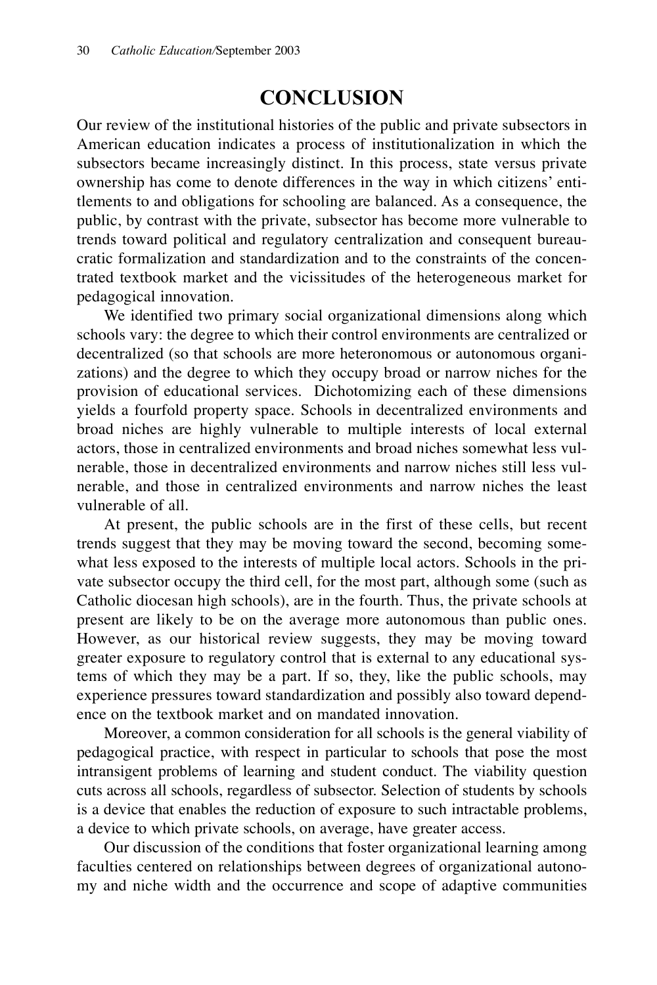## **CONCLUSION**

Our review of the institutional histories of the public and private subsectors in American education indicates a process of institutionalization in which the subsectors became increasingly distinct. In this process, state versus private ownership has come to denote differences in the way in which citizens' entitlements to and obligations for schooling are balanced. As a consequence, the public, by contrast with the private, subsector has become more vulnerable to trends toward political and regulatory centralization and consequent bureaucratic formalization and standardization and to the constraints of the concentrated textbook market and the vicissitudes of the heterogeneous market for pedagogical innovation.

We identified two primary social organizational dimensions along which schools vary: the degree to which their control environments are centralized or decentralized (so that schools are more heteronomous or autonomous organizations) and the degree to which they occupy broad or narrow niches for the provision of educational services. Dichotomizing each of these dimensions yields a fourfold property space. Schools in decentralized environments and broad niches are highly vulnerable to multiple interests of local external actors, those in centralized environments and broad niches somewhat less vulnerable, those in decentralized environments and narrow niches still less vulnerable, and those in centralized environments and narrow niches the least vulnerable of all.

At present, the public schools are in the first of these cells, but recent trends suggest that they may be moving toward the second, becoming somewhat less exposed to the interests of multiple local actors. Schools in the private subsector occupy the third cell, for the most part, although some (such as Catholic diocesan high schools), are in the fourth. Thus, the private schools at present are likely to be on the average more autonomous than public ones. However, as our historical review suggests, they may be moving toward greater exposure to regulatory control that is external to any educational systems of which they may be a part. If so, they, like the public schools, may experience pressures toward standardization and possibly also toward dependence on the textbook market and on mandated innovation.

Moreover, a common consideration for all schools is the general viability of pedagogical practice, with respect in particular to schools that pose the most intransigent problems of learning and student conduct. The viability question cuts across all schools, regardless of subsector. Selection of students by schools is a device that enables the reduction of exposure to such intractable problems, a device to which private schools, on average, have greater access.

Our discussion of the conditions that foster organizational learning among faculties centered on relationships between degrees of organizational autonomy and niche width and the occurrence and scope of adaptive communities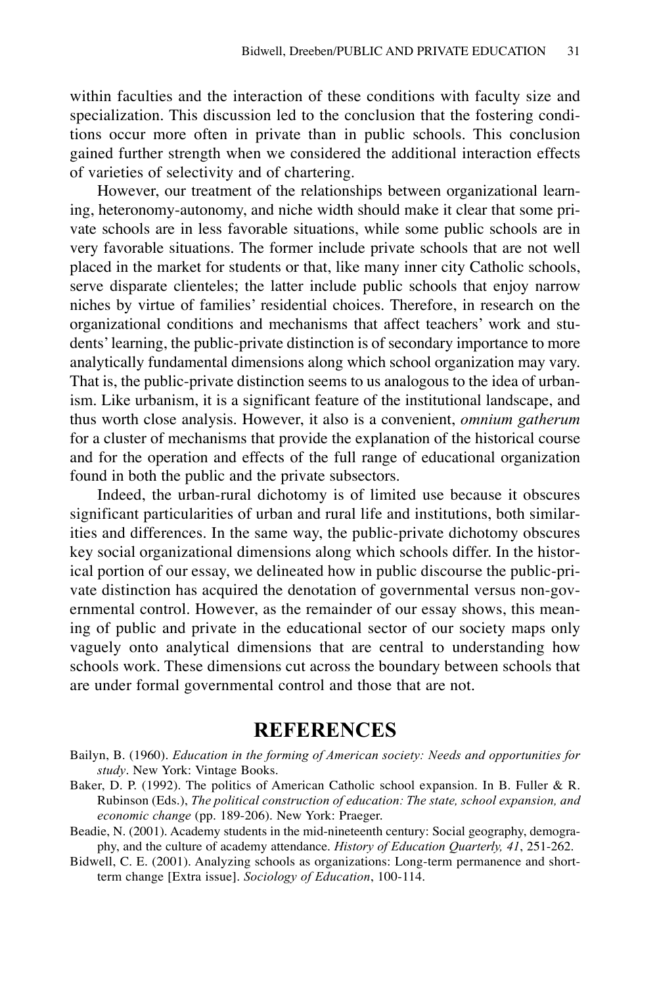within faculties and the interaction of these conditions with faculty size and specialization. This discussion led to the conclusion that the fostering conditions occur more often in private than in public schools. This conclusion gained further strength when we considered the additional interaction effects of varieties of selectivity and of chartering.

However, our treatment of the relationships between organizational learning, heteronomy-autonomy, and niche width should make it clear that some private schools are in less favorable situations, while some public schools are in very favorable situations. The former include private schools that are not well placed in the market for students or that, like many inner city Catholic schools, serve disparate clienteles; the latter include public schools that enjoy narrow niches by virtue of families' residential choices. Therefore, in research on the organizational conditions and mechanisms that affect teachers' work and students' learning, the public-private distinction is of secondary importance to more analytically fundamental dimensions along which school organization may vary. That is, the public-private distinction seems to us analogous to the idea of urbanism. Like urbanism, it is a significant feature of the institutional landscape, and thus worth close analysis. However, it also is a convenient, *omnium gatherum* for a cluster of mechanisms that provide the explanation of the historical course and for the operation and effects of the full range of educational organization found in both the public and the private subsectors.

Indeed, the urban-rural dichotomy is of limited use because it obscures significant particularities of urban and rural life and institutions, both similarities and differences. In the same way, the public-private dichotomy obscures key social organizational dimensions along which schools differ. In the historical portion of our essay, we delineated how in public discourse the public-private distinction has acquired the denotation of governmental versus non-governmental control. However, as the remainder of our essay shows, this meaning of public and private in the educational sector of our society maps only vaguely onto analytical dimensions that are central to understanding how schools work. These dimensions cut across the boundary between schools that are under formal governmental control and those that are not.

### **REFERENCES**

- Bailyn, B. (1960). *Education in the forming of American society: Needs and opportunities for study*. New York: Vintage Books.
- Baker, D. P. (1992). The politics of American Catholic school expansion. In B. Fuller & R. Rubinson (Eds.), *The political construction of education: The state, school expansion, and economic change* (pp. 189-206). New York: Praeger.
- Beadie, N. (2001). Academy students in the mid-nineteenth century: Social geography, demography, and the culture of academy attendance. *History of Education Quarterly, 41*, 251-262.
- Bidwell, C. E. (2001). Analyzing schools as organizations: Long-term permanence and shortterm change [Extra issue]. *Sociology of Education*, 100-114.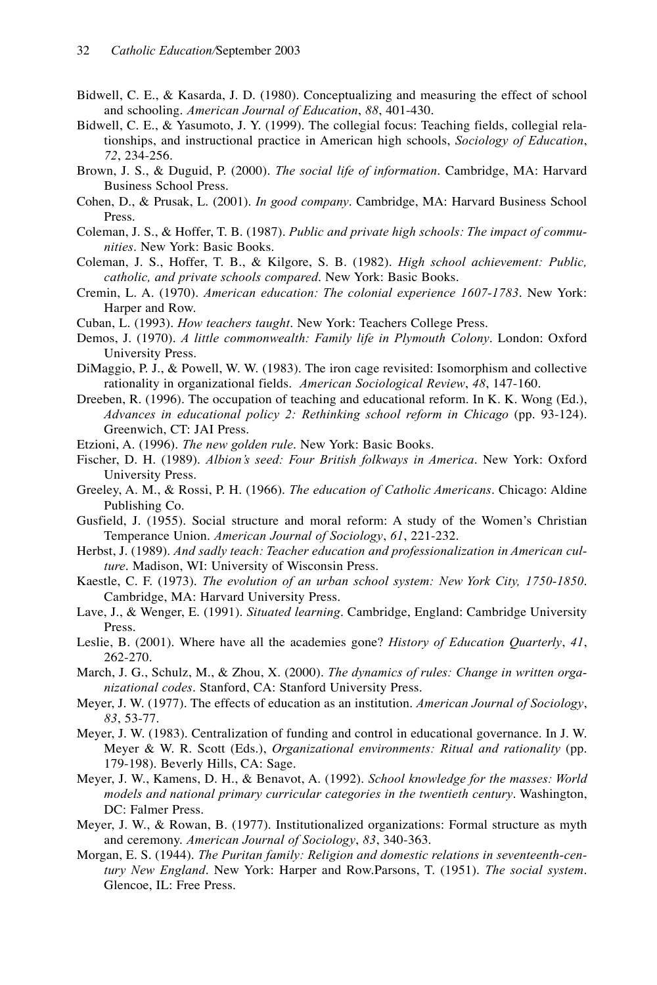- Bidwell, C. E., & Kasarda, J. D. (1980). Conceptualizing and measuring the effect of school and schooling. *American Journal of Education*, *88*, 401-430.
- Bidwell, C. E., & Yasumoto, J. Y. (1999). The collegial focus: Teaching fields, collegial relationships, and instructional practice in American high schools, *Sociology of Education*, *72*, 234-256.
- Brown, J. S., & Duguid, P. (2000). *The social life of information*. Cambridge, MA: Harvard Business School Press.
- Cohen, D., & Prusak, L. (2001). *In good company*. Cambridge, MA: Harvard Business School Press.
- Coleman, J. S., & Hoffer, T. B. (1987). *Public and private high schools: The impact of communities*. New York: Basic Books.
- Coleman, J. S., Hoffer, T. B., & Kilgore, S. B. (1982). *High school achievement: Public, catholic, and private schools compared*. New York: Basic Books.
- Cremin, L. A. (1970). *American education: The colonial experience 1607-1783*. New York: Harper and Row.
- Cuban, L. (1993). *How teachers taught*. New York: Teachers College Press.
- Demos, J. (1970). *A little commonwealth: Family life in Plymouth Colony*. London: Oxford University Press.
- DiMaggio, P. J., & Powell, W. W. (1983). The iron cage revisited: Isomorphism and collective rationality in organizational fields. *American Sociological Review*, *48*, 147-160.
- Dreeben, R. (1996). The occupation of teaching and educational reform. In K. K. Wong (Ed.), *Advances in educational policy 2: Rethinking school reform in Chicago* (pp. 93-124). Greenwich, CT: JAI Press.
- Etzioni, A. (1996). *The new golden rule*. New York: Basic Books.
- Fischer, D. H. (1989). *Albion's seed: Four British folkways in America*. New York: Oxford University Press.
- Greeley, A. M., & Rossi, P. H. (1966). *The education of Catholic Americans*. Chicago: Aldine Publishing Co.
- Gusfield, J. (1955). Social structure and moral reform: A study of the Women's Christian Temperance Union. *American Journal of Sociology*, *61*, 221-232.
- Herbst, J. (1989). *And sadly teach: Teacher education and professionalization in American culture*. Madison, WI: University of Wisconsin Press.
- Kaestle, C. F. (1973). *The evolution of an urban school system: New York City, 1750-1850*. Cambridge, MA: Harvard University Press.
- Lave, J., & Wenger, E. (1991). *Situated learning*. Cambridge, England: Cambridge University Press.
- Leslie, B. (2001). Where have all the academies gone? *History of Education Quarterly*, *41*, 262-270.
- March, J. G., Schulz, M., & Zhou, X. (2000). *The dynamics of rules: Change in written organizational codes*. Stanford, CA: Stanford University Press.
- Meyer, J. W. (1977). The effects of education as an institution. *American Journal of Sociology*, *83*, 53-77.
- Meyer, J. W. (1983). Centralization of funding and control in educational governance. In J. W. Meyer & W. R. Scott (Eds.), *Organizational environments: Ritual and rationality* (pp. 179-198). Beverly Hills, CA: Sage.
- Meyer, J. W., Kamens, D. H., & Benavot, A. (1992). *School knowledge for the masses: World models and national primary curricular categories in the twentieth century*. Washington, DC: Falmer Press.
- Meyer, J. W., & Rowan, B. (1977). Institutionalized organizations: Formal structure as myth and ceremony. *American Journal of Sociology*, *83*, 340-363.
- Morgan, E. S. (1944). *The Puritan family: Religion and domestic relations in seventeenth-century New England*. New York: Harper and Row.Parsons, T. (1951). *The social system*. Glencoe, IL: Free Press.